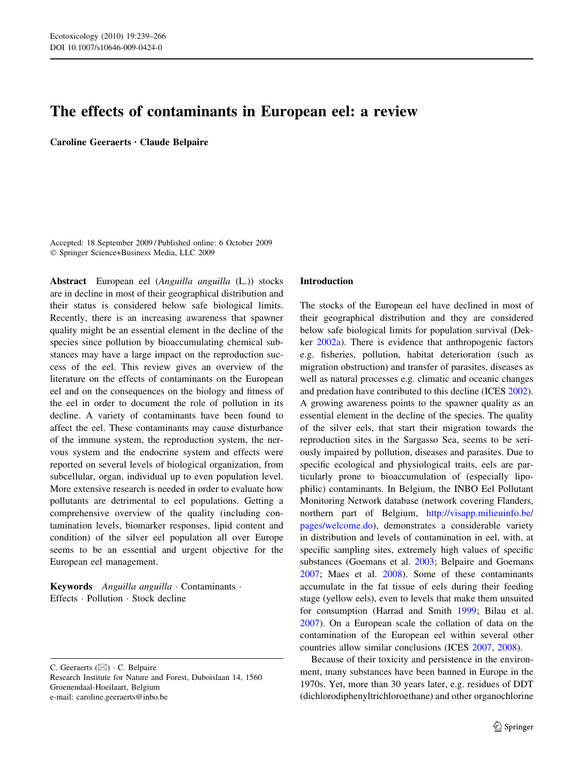# The effects of contaminants in European eel: a review

Caroline Geeraerts *•* Claude Belpaire

Accepted: 18 September 2009 / Published online: 6 October 2009 Springer Science+Business Media, LLC 2009

Abstract European eel (Anguilla anguilla (L.)) stocks are in decline in most of their geographical distribution and their status is considered below safe biological limits. Recently, there is an increasing awareness that spawner quality might be an essential element in the decline of the species since pollution by bioaccumulating chemical substances may have a large impact on the reproduction success of the eel. This review gives an overview of the literature on the effects of contaminants on the European eel and on the consequences on the biology and fitness of the eel in order to document the role of pollution in its decline. A variety of contaminants have been found to affect the eel. These contaminants may cause disturbance of the immune system, the reproduction system, the nervous system and the endocrine system and effects were reported on several levels of biological organization, from subcellular, organ, individual up to even population level. More extensive research is needed in order to evaluate how pollutants are detrimental to eel populations. Getting a comprehensive overview of the quality (including contamination levels, biomarker responses, lipid content and condition) of the silver eel population all over Europe seems to be an essential and urgent objective for the European eel management.

Keywords Anguilla anguilla Contaminants · Effects · Pollution · Stock decline

C. Geeraerts  $(\boxtimes) \cdot C$ . Belpaire

Research Institute for Nature and Forest, Duboislaan 14, 1560 Groenendaal-Hoeilaart, Belgium e-mail: caroline.geeraerts@inbo.be

#### Introduction

The stocks of the European eel have declined in most of their geographical distribution and they are considered below safe biological limits for population survival (Dekker [2002a\)](#page-22-0). There is evidence that anthropogenic factors e.g. fisheries, pollution, habitat deterioration (such as migration obstruction) and transfer of parasites, diseases as well as natural processes e.g. climatic and oceanic changes and predation have contributed to this decline (ICES [2002](#page-23-0)). A growing awareness points to the spawner quality as an essential element in the decline of the species. The quality of the silver eels, that start their migration towards the reproduction sites in the Sargasso Sea, seems to be seriously impaired by pollution, diseases and parasites. Due to specific ecological and physiological traits, eels are particularly prone to bioaccumulation of (especially lipophilic) contaminants. In Belgium, the INBO Eel Pollutant Monitoring Network database (network covering Flanders, northern part of Belgium, [http://visapp.milieuinfo.be/](http://visapp.milieuinfo.be/pages/welcome.do) [pages/welcome.do](http://visapp.milieuinfo.be/pages/welcome.do)), demonstrates a considerable variety in distribution and levels of contamination in eel, with, at specific sampling sites, extremely high values of specific substances (Goemans et al. [2003](#page-22-0); Belpaire and Goemans [2007](#page-21-0); Maes et al. [2008](#page-24-0)). Some of these contaminants accumulate in the fat tissue of eels during their feeding stage (yellow eels), even to levels that make them unsuited for consumption (Harrad and Smith [1999](#page-23-0); Bilau et al. [2007](#page-21-0)). On a European scale the collation of data on the contamination of the European eel within several other countries allow similar conclusions (ICES [2007,](#page-23-0) [2008](#page-23-0)).

Because of their toxicity and persistence in the environment, many substances have been banned in Europe in the 1970s. Yet, more than 30 years later, e.g. residues of DDT (dichlorodiphenyltrichloroethane) and other organochlorine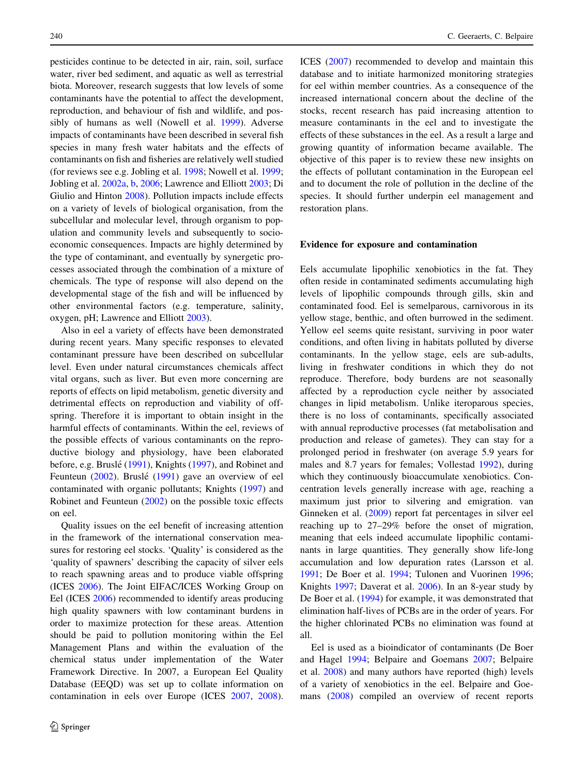pesticides continue to be detected in air, rain, soil, surface water, river bed sediment, and aquatic as well as terrestrial biota. Moreover, research suggests that low levels of some contaminants have the potential to affect the development, reproduction, and behaviour of fish and wildlife, and possibly of humans as well (Nowell et al. [1999](#page-24-0)). Adverse impacts of contaminants have been described in several fish species in many fresh water habitats and the effects of contaminants on fish and fisheries are relatively well studied (for reviews see e.g. Jobling et al. [1998](#page-23-0); Nowell et al. [1999](#page-24-0); Jobling et al. [2002a,](#page-23-0) [b](#page-23-0), [2006](#page-23-0); Lawrence and Elliott [2003](#page-24-0); Di Giulio and Hinton [2008\)](#page-22-0). Pollution impacts include effects on a variety of levels of biological organisation, from the subcellular and molecular level, through organism to population and community levels and subsequently to socioeconomic consequences. Impacts are highly determined by the type of contaminant, and eventually by synergetic processes associated through the combination of a mixture of chemicals. The type of response will also depend on the developmental stage of the fish and will be influenced by other environmental factors (e.g. temperature, salinity, oxygen, pH; Lawrence and Elliott [2003](#page-24-0)).

Also in eel a variety of effects have been demonstrated during recent years. Many specific responses to elevated contaminant pressure have been described on subcellular level. Even under natural circumstances chemicals affect vital organs, such as liver. But even more concerning are reports of effects on lipid metabolism, genetic diversity and detrimental effects on reproduction and viability of offspring. Therefore it is important to obtain insight in the harmful effects of contaminants. Within the eel, reviews of the possible effects of various contaminants on the reproductive biology and physiology, have been elaborated before, e.g. Bruslé [\(1991](#page-21-0)), Knights ([1997\)](#page-23-0), and Robinet and Feunteun  $(2002)$  $(2002)$ . Bruslé  $(1991)$  $(1991)$  gave an overview of eel contaminated with organic pollutants; Knights ([1997\)](#page-23-0) and Robinet and Feunteun ([2002\)](#page-25-0) on the possible toxic effects on eel.

Quality issues on the eel benefit of increasing attention in the framework of the international conservation measures for restoring eel stocks. 'Quality' is considered as the 'quality of spawners' describing the capacity of silver eels to reach spawning areas and to produce viable offspring (ICES [2006\)](#page-23-0). The Joint EIFAC/ICES Working Group on Eel (ICES [2006\)](#page-23-0) recommended to identify areas producing high quality spawners with low contaminant burdens in order to maximize protection for these areas. Attention should be paid to pollution monitoring within the Eel Management Plans and within the evaluation of the chemical status under implementation of the Water Framework Directive. In 2007, a European Eel Quality Database (EEQD) was set up to collate information on contamination in eels over Europe (ICES [2007,](#page-23-0) [2008](#page-23-0)).

ICES [\(2007](#page-23-0)) recommended to develop and maintain this database and to initiate harmonized monitoring strategies for eel within member countries. As a consequence of the increased international concern about the decline of the stocks, recent research has paid increasing attention to measure contaminants in the eel and to investigate the effects of these substances in the eel. As a result a large and growing quantity of information became available. The objective of this paper is to review these new insights on the effects of pollutant contamination in the European eel and to document the role of pollution in the decline of the species. It should further underpin eel management and restoration plans.

## Evidence for exposure and contamination

Eels accumulate lipophilic xenobiotics in the fat. They often reside in contaminated sediments accumulating high levels of lipophilic compounds through gills, skin and contaminated food. Eel is semelparous, carnivorous in its yellow stage, benthic, and often burrowed in the sediment. Yellow eel seems quite resistant, surviving in poor water conditions, and often living in habitats polluted by diverse contaminants. In the yellow stage, eels are sub-adults, living in freshwater conditions in which they do not reproduce. Therefore, body burdens are not seasonally affected by a reproduction cycle neither by associated changes in lipid metabolism. Unlike iteroparous species, there is no loss of contaminants, specifically associated with annual reproductive processes (fat metabolisation and production and release of gametes). They can stay for a prolonged period in freshwater (on average 5.9 years for males and 8.7 years for females; Vollestad [1992](#page-26-0)), during which they continuously bioaccumulate xenobiotics. Concentration levels generally increase with age, reaching a maximum just prior to silvering and emigration. van Ginneken et al. [\(2009\)](#page-26-0) report fat percentages in silver eel reaching up to 27–29% before the onset of migration, meaning that eels indeed accumulate lipophilic contaminants in large quantities. They generally show life-long accumulation and low depuration rates (Larsson et al. [1991](#page-24-0); De Boer et al. [1994](#page-22-0); Tulonen and Vuorinen [1996](#page-26-0); Knights [1997](#page-23-0); Daverat et al. [2006](#page-22-0)). In an 8-year study by De Boer et al. ([1994\)](#page-22-0) for example, it was demonstrated that elimination half-lives of PCBs are in the order of years. For the higher chlorinated PCBs no elimination was found at all.

Eel is used as a bioindicator of contaminants (De Boer and Hagel [1994](#page-22-0); Belpaire and Goemans [2007;](#page-21-0) Belpaire et al. [2008](#page-21-0)) and many authors have reported (high) levels of a variety of xenobiotics in the eel. Belpaire and Goemans [\(2008](#page-21-0)) compiled an overview of recent reports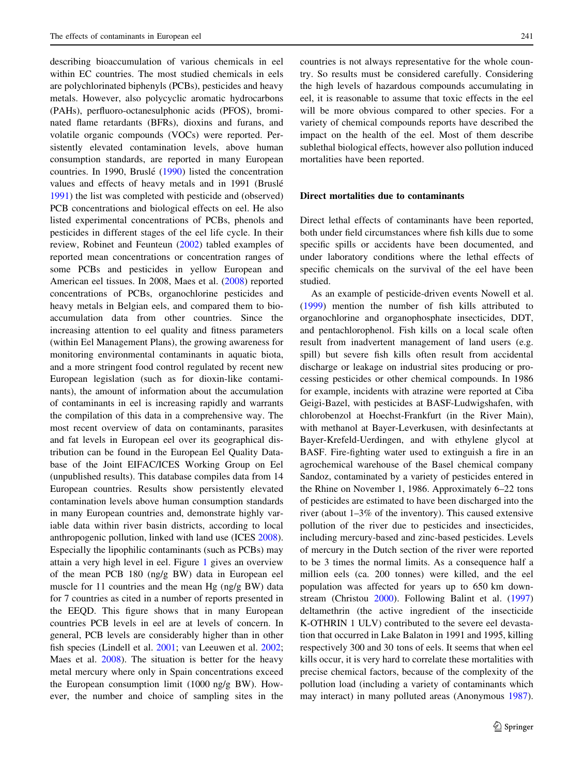describing bioaccumulation of various chemicals in eel within EC countries. The most studied chemicals in eels are polychlorinated biphenyls (PCBs), pesticides and heavy metals. However, also polycyclic aromatic hydrocarbons (PAHs), perfluoro-octanesulphonic acids (PFOS), brominated flame retardants (BFRs), dioxins and furans, and volatile organic compounds (VOCs) were reported. Persistently elevated contamination levels, above human consumption standards, are reported in many European countries. In 1990, Bruslé ([1990\)](#page-21-0) listed the concentration values and effects of heavy metals and in 1991 (Bruslé [1991\)](#page-21-0) the list was completed with pesticide and (observed) PCB concentrations and biological effects on eel. He also listed experimental concentrations of PCBs, phenols and pesticides in different stages of the eel life cycle. In their review, Robinet and Feunteun [\(2002](#page-25-0)) tabled examples of reported mean concentrations or concentration ranges of some PCBs and pesticides in yellow European and American eel tissues. In 2008, Maes et al. [\(2008](#page-24-0)) reported concentrations of PCBs, organochlorine pesticides and heavy metals in Belgian eels, and compared them to bioaccumulation data from other countries. Since the increasing attention to eel quality and fitness parameters (within Eel Management Plans), the growing awareness for monitoring environmental contaminants in aquatic biota, and a more stringent food control regulated by recent new European legislation (such as for dioxin-like contaminants), the amount of information about the accumulation of contaminants in eel is increasing rapidly and warrants the compilation of this data in a comprehensive way. The most recent overview of data on contaminants, parasites and fat levels in European eel over its geographical distribution can be found in the European Eel Quality Database of the Joint EIFAC/ICES Working Group on Eel (unpublished results). This database compiles data from 14 European countries. Results show persistently elevated contamination levels above human consumption standards in many European countries and, demonstrate highly variable data within river basin districts, according to local anthropogenic pollution, linked with land use (ICES [2008](#page-23-0)). Especially the lipophilic contaminants (such as PCBs) may attain a very high level in eel. Figure [1](#page-3-0) gives an overview of the mean PCB 180 (ng/g BW) data in European eel muscle for 11 countries and the mean Hg (ng/g BW) data for 7 countries as cited in a number of reports presented in the EEQD. This figure shows that in many European countries PCB levels in eel are at levels of concern. In general, PCB levels are considerably higher than in other fish species (Lindell et al. [2001](#page-24-0); van Leeuwen et al. [2002](#page-26-0); Maes et al. [2008\)](#page-24-0). The situation is better for the heavy metal mercury where only in Spain concentrations exceed the European consumption limit (1000 ng/g BW). However, the number and choice of sampling sites in the countries is not always representative for the whole country. So results must be considered carefully. Considering the high levels of hazardous compounds accumulating in eel, it is reasonable to assume that toxic effects in the eel will be more obvious compared to other species. For a variety of chemical compounds reports have described the impact on the health of the eel. Most of them describe sublethal biological effects, however also pollution induced mortalities have been reported.

## Direct mortalities due to contaminants

Direct lethal effects of contaminants have been reported, both under field circumstances where fish kills due to some specific spills or accidents have been documented, and under laboratory conditions where the lethal effects of specific chemicals on the survival of the eel have been studied.

As an example of pesticide-driven events Nowell et al. [\(1999](#page-24-0)) mention the number of fish kills attributed to organochlorine and organophosphate insecticides, DDT, and pentachlorophenol. Fish kills on a local scale often result from inadvertent management of land users (e.g. spill) but severe fish kills often result from accidental discharge or leakage on industrial sites producing or processing pesticides or other chemical compounds. In 1986 for example, incidents with atrazine were reported at Ciba Geigi-Bazel, with pesticides at BASF-Ludwigshafen, with chlorobenzol at Hoechst-Frankfurt (in the River Main), with methanol at Bayer-Leverkusen, with desinfectants at Bayer-Krefeld-Uerdingen, and with ethylene glycol at BASF. Fire-fighting water used to extinguish a fire in an agrochemical warehouse of the Basel chemical company Sandoz, contaminated by a variety of pesticides entered in the Rhine on November 1, 1986. Approximately 6–22 tons of pesticides are estimated to have been discharged into the river (about 1–3% of the inventory). This caused extensive pollution of the river due to pesticides and insecticides, including mercury-based and zinc-based pesticides. Levels of mercury in the Dutch section of the river were reported to be 3 times the normal limits. As a consequence half a million eels (ca. 200 tonnes) were killed, and the eel population was affected for years up to 650 km downstream (Christou [2000\)](#page-21-0). Following Balint et al. ([1997\)](#page-21-0) deltamethrin (the active ingredient of the insecticide K-OTHRIN 1 ULV) contributed to the severe eel devastation that occurred in Lake Balaton in 1991 and 1995, killing respectively 300 and 30 tons of eels. It seems that when eel kills occur, it is very hard to correlate these mortalities with precise chemical factors, because of the complexity of the pollution load (including a variety of contaminants which may interact) in many polluted areas (Anonymous [1987](#page-21-0)).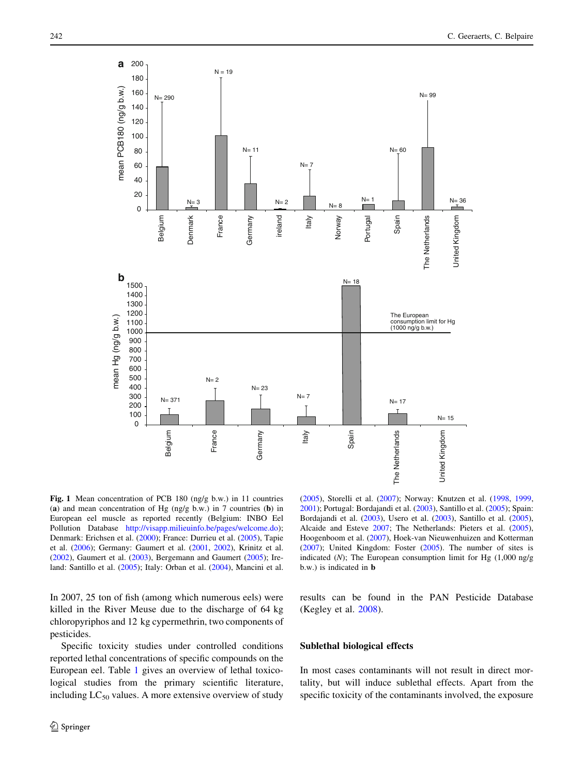<span id="page-3-0"></span>

Fig. 1 Mean concentration of PCB 180 (ng/g b.w.) in 11 countries (a) and mean concentration of Hg (ng/g b.w.) in 7 countries (b) in European eel muscle as reported recently (Belgium: INBO Eel Pollution Database [http://visapp.milieuinfo.be/pages/welcome.do\)](http://visapp.milieuinfo.be/pages/welcome.do); Denmark: Erichsen et al. ([2000\)](#page-22-0); France: Durrieu et al. [\(2005](#page-22-0)), Tapie et al. [\(2006](#page-26-0)); Germany: Gaumert et al. ([2001,](#page-22-0) [2002](#page-22-0)), Krinitz et al. ([2002\)](#page-24-0), Gaumert et al. [\(2003](#page-22-0)), Bergemann and Gaumert ([2005\)](#page-21-0); Ireland: Santillo et al. [\(2005](#page-25-0)); Italy: Orban et al. ([2004\)](#page-25-0), Mancini et al.

[2001](#page-24-0)); Portugal: Bordajandi et al. ([2003\)](#page-21-0), Santillo et al. [\(2005](#page-25-0)); Spain: Bordajandi et al. [\(2003\)](#page-21-0), Usero et al. ([2003\)](#page-26-0), Santillo et al. [\(2005](#page-25-0)), Alcaide and Esteve [2007](#page-20-0); The Netherlands: Pieters et al. [\(2005](#page-25-0)), Hoogenboom et al. [\(2007](#page-23-0)), Hoek-van Nieuwenhuizen and Kotterman ([2007\)](#page-23-0); United Kingdom: Foster ([2005\)](#page-22-0). The number of sites is indicated  $(N)$ ; The European consumption limit for Hg  $(1,000 \text{ ng/g})$ b.w.) is indicated in b

In 2007, 25 ton of fish (among which numerous eels) were killed in the River Meuse due to the discharge of 64 kg chloropyriphos and 12 kg cypermethrin, two components of pesticides.

Specific toxicity studies under controlled conditions reported lethal concentrations of specific compounds on the European eel. Table [1](#page-4-0) gives an overview of lethal toxicological studies from the primary scientific literature, including  $LC_{50}$  values. A more extensive overview of study

(Kegley et al. [2008](#page-23-0)).

results can be found in the PAN Pesticide Database

## Sublethal biological effects

In most cases contaminants will not result in direct mortality, but will induce sublethal effects. Apart from the specific toxicity of the contaminants involved, the exposure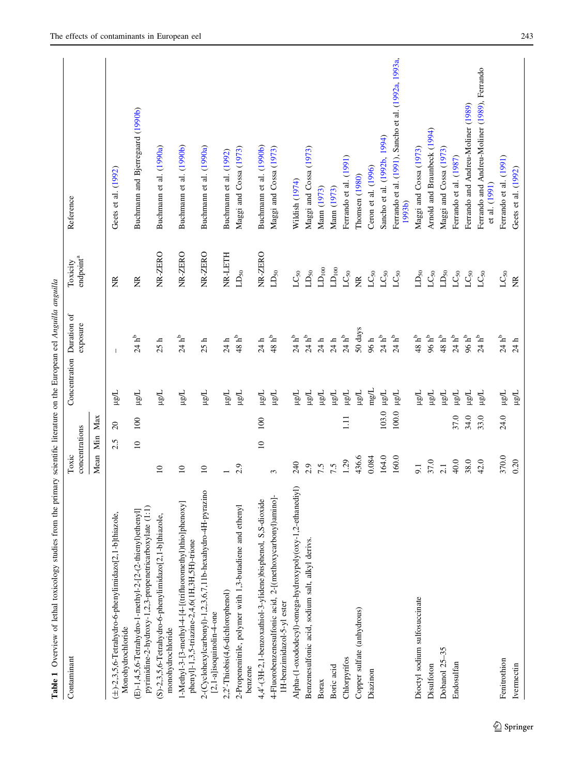| Table 1 Overview of lethal toxicology studies from the primary scientific literature on the European eel Anguilla anguilla |                               |                                       |                                   |                     |  |
|----------------------------------------------------------------------------------------------------------------------------|-------------------------------|---------------------------------------|-----------------------------------|---------------------|--|
| Contaminant                                                                                                                | oncentrations<br><b>Loxic</b> | Concentration Duration of<br>exposure | endpoint <sup>a</sup><br>Toxicity | Reference           |  |
|                                                                                                                            | Mean Min Max                  |                                       |                                   |                     |  |
| (±)-2,3,5,6-Tetrahydro-6-phenylimidazo[2,1-b]thiazole,<br>$M_{\alpha\alpha\alpha}$ anda $\alpha$ ahlamda                   | $2.5$ 20 $\mu$ g/L            |                                       | ž                                 | Geets et al. (1992) |  |

<span id="page-4-0"></span>

| Contaminant                                                                                                           | $\operatorname{\mathrm{Toxic}}$ | concentrations         |                          | Concentration Duration of<br>exposure | endpoint <sup>a</sup><br>Toxicity      | Reference                                                      |
|-----------------------------------------------------------------------------------------------------------------------|---------------------------------|------------------------|--------------------------|---------------------------------------|----------------------------------------|----------------------------------------------------------------|
|                                                                                                                       |                                 | Mean Min Max           |                          |                                       |                                        |                                                                |
| $(\pm)$ -2,3,5,6-Tetrahydro-6-phenylimidazo[2,1-b]thiazole,<br>Monohydrochloride                                      |                                 | $\overline{c}$<br>2.5  | Tßn                      |                                       | Ĕ                                      | Geets et al. (1992)                                            |
| pyrimidine-2-hydroxy-1,2,3-propenetricarboxylate (1:1)<br>$(E)$ -1,4,5,6-Tetrahydro-1-methyl-2-[2-(2-thienyl)ethenyl] |                                 | 100<br>$\overline{10}$ | Than                     | $24~\mathrm{h}^{\mathrm{b}}$          | E                                      | Buchmann and Bjerregaard (1990b)                               |
| (S)-2,3,5,6-Tetrahydro-6-phenylimidazo[2,1-b]thiazole,<br>monohydrochloride                                           | $\overline{10}$                 |                        | Πβη                      | 25 <sub>h</sub>                       | NR-ZERO                                | Buchmann et al. (1990a)                                        |
| [-Methyl-3-[3-methyl-4-[4-[(trifluoromethyl)thio]phenoxy]<br>phenyl]-1,3,5-triazine-2,4,6(1H,3H,5H)-trione            | $\overline{10}$                 |                        | $\mathrm{Hg} \mathrm{H}$ | $24 h^{b}$                            | NR-ZERO                                | Buchmann et al. (1990b)                                        |
| 2-(Cyclohexylcarbonyl)-1,2,3,6,7,11b-hexahydro-4H-pyrazino<br>[2,1-a]isoquinolin-4-one                                | $\supseteq$                     |                        | Τßη                      | 25 <sub>h</sub>                       | NR-ZERO                                | Buchmann et al. (1990a)                                        |
| 2,2'-Thiobis(4,6-dichlorophenol)                                                                                      |                                 |                        | Tßn                      | 24 h                                  | NR-LETH                                | Buchmann et al. (1992)                                         |
| 2-Propenenitrile, polymer with 1,3-butadiene and ethenyl<br>benzene                                                   | 2.9                             |                        | Τßη                      | $^{48}$ $\rm h^b$                     | $LD_{50}$                              | Maggi and Cossa (1973)                                         |
| 4,4'-(3H-2,1-benzoxathiol-3-ylidene)bisphenol, S,S-dioxide                                                            |                                 | 100<br>$\overline{10}$ | Πâη                      | 24 h                                  | NR-ZERO                                | Buchmann et al. (1990b)                                        |
| 4-Fluorobenzenesulfonic acid, 2-[(methoxycarbonyl)amino]-<br>1H-benzimidazol-5-yl ester                               | 3                               |                        | Tßn                      | $48~h^b$                              | $LD_{50}$                              | Maggi and Cossa (1973)                                         |
| Alpha-(1-oxododecyl)-omega-hydroxypoly(oxy-1,2-ethanediyl)                                                            | 240                             |                        | Ηãη                      | $24~\mathrm{h}^{\mathrm{b}}$          | $LC_{50}$                              | Wildish (1974)                                                 |
| Benzenesulfonic acid, sodium salt, alkyl derivs.                                                                      | 2.9                             |                        | Hgr                      | $24~\mbox{h}^{\mbox{\tiny b}}$        | $LD_{50}$                              | Maggi and Cossa (1973)                                         |
| Borax                                                                                                                 | 7.5                             |                        | Hgr                      | 24 h                                  | $\text{LD}_{100}$                      | Mann (1973)                                                    |
| Boric acid                                                                                                            | 7.5                             |                        | Than                     | 24 h                                  | $\text{LD}_{100}$                      | Mann (1973)                                                    |
| Chlorpyrifos                                                                                                          | 1.29                            |                        | Hgr<br>$\Xi$             | $24~h^b$                              | $\mathop{\hbox{\rm LC}}\nolimits_{50}$ | Ferrando et al. (1991)                                         |
| Copper sulfate (anhydrous)                                                                                            | 436.6                           |                        | $\mu$ g/L                | 50 days                               | $\widetilde{\Xi}$                      | Thomsen (1980)                                                 |
| Diazinon                                                                                                              | 0.084                           |                        | $\rm mgL$                | 96 h                                  | $LC_{50}$                              | Ceron et al. (1996)                                            |
|                                                                                                                       | 164.0                           |                        | $\mu$ g $L$<br>103.0     | $24~\mathrm{h}^{\mathrm{b}}$          | $LC_{50}$                              | Sancho et al. (1992b, 1994)                                    |
|                                                                                                                       | 160.0                           |                        | $\tau^{\rm BH}$<br>100.0 | $24~h^b$                              | $LC_{50}$                              | Ferrando et al. (1991), Sancho et al. (1992a, 1993a,<br>1993b) |
| Dioctyl sodium sulfosuccinate                                                                                         | 9.1                             |                        | Tßn                      | $48~h^b$                              | $\rm LD_{50}$                          | Maggi and Cossa (1973)                                         |
| Disulfoton                                                                                                            | 37.0                            |                        | Har                      | $^{96}$ h $^{\rm b}$                  | $LC_{50}$                              | Arnold and Braunbeck (1994)                                    |
| Dobanol 25-35                                                                                                         | 2.1                             |                        | Tßn                      | $48~h^b$                              | $LD_{50}$                              | Maggi and Cossa (1973)                                         |
| Endosulfan                                                                                                            | 40.0                            |                        | Пãп<br>37.0              | $24~h^b$                              | $LC_{50}$                              | Ferrando et al. (1987)                                         |
|                                                                                                                       | 38.0                            |                        | Пãп<br>34.0              | $96 h^b$                              | $LC_{50}$                              | Ferrando and Andreu-Moliner (1989)                             |
|                                                                                                                       | 42.0                            |                        | Пãп<br>33.0              | $24 h^{b}$                            | $LC_{50}$                              | Ferrando and Andreu-Moliner (1989), Ferrando<br>et al. (1991)  |
| Fenitrothion                                                                                                          | 370.0                           |                        | Πāη<br>24.0              | $24~\mathrm{h}^{\mathrm{b}}$          | $LC_{50}$                              | Ferrando et al. (1991)                                         |
| Ivermectin                                                                                                            | 0.20                            |                        | Πāη                      | 24 h                                  | $\widetilde{\Xi}$                      | Geets et al. (1992)                                            |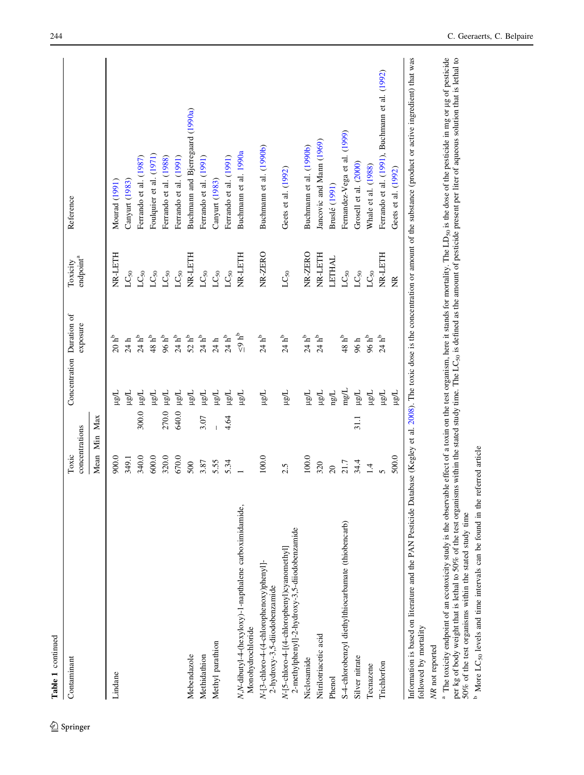| Contaminant                                                                                                                                                                                                             | concentrations<br>Toxic | Concentration Duration of | exposure                        | endpoint <sup>a</sup><br>Toxicity | Reference                                      |
|-------------------------------------------------------------------------------------------------------------------------------------------------------------------------------------------------------------------------|-------------------------|---------------------------|---------------------------------|-----------------------------------|------------------------------------------------|
|                                                                                                                                                                                                                         | Mean Min Max            |                           |                                 |                                   |                                                |
| Lindane                                                                                                                                                                                                                 | 900.0                   | Tßn                       | $20~h^b$                        | <b>NR-LETH</b>                    | Mourad (1991)                                  |
|                                                                                                                                                                                                                         | 349.1                   | $\mathrm{Hg} \mathrm{d}$  | 24 h                            | $LC_{50}$                         | Canyurt (1983)                                 |
|                                                                                                                                                                                                                         | 340.0                   | Πāη<br>300.0              | $24~\mathrm{h}^{\mathrm{b}}$    | $LC_{50}$                         | Ferrando et al. (1987)                         |
|                                                                                                                                                                                                                         | 600.0                   | $^{\tt hgl}$              | $48~h^b$                        | $LC_{50}$                         | Foulquier et al. (1971)                        |
|                                                                                                                                                                                                                         | 320.0                   | Πāη<br>270.0              | $96~h^b$                        | $LC_{50}$                         | Ferrando et al. (1988)                         |
|                                                                                                                                                                                                                         | 670.0                   | Πāη<br>640.0              | $24~h^b$                        | $LC_{50}$                         | Ferrando et al. (1991)                         |
| Mebendazole                                                                                                                                                                                                             | 500                     | Tßr                       | $52~h^b$                        | NR-LETH                           | Buchmann and Bjerregaard (1990a)               |
| Methidathion                                                                                                                                                                                                            | 3.87                    | Ηğη<br>3.07               | $24~\mbox{h}^{\mbox{\tiny b}}$  | $LC_{50}$                         | Ferrando et al. (1991)                         |
| Methyl parathion                                                                                                                                                                                                        | 5.55                    | Ηğη                       | 24 h                            | $LC_{50}$                         | Canyurt (1983)                                 |
|                                                                                                                                                                                                                         | 5.34                    | Πβη<br>4.64               | $24 h^{b}$                      | $LC_{50}$                         | Ferrando et al. (1991)                         |
| N, N-dibutyl-4-(hexyloxy)-1-napthalene carboximidamide,<br>Monohydrochloride                                                                                                                                            |                         | $\mathrm{Hg} \mathrm{d}$  | $_{\rm q}^{\rm q}$ k $_{\rm 6}$ | NR-LETH                           | Buchmann et al. 1990a                          |
| N-[3-chloro-4-(4-chlorophenoxy)phenyl]-<br>2-hydroxy-3,5-diiodobenzamide                                                                                                                                                | 100.0                   | Πāη                       | $24~h^b$                        | NR-ZERO                           | Buchmann et al. (1990b)                        |
| 2-methylphenyl]-2-hydroxy-3,5-diiodobenzamide<br>N-[5-chloro-4-[(4-chlorophenyl)cyanomethyl]                                                                                                                            | 2.5                     | Πāη                       | $24~h^b$                        | $LC_{50}$                         | Geets et al. (1992)                            |
| Niclosamide                                                                                                                                                                                                             | 100.0                   | Tßn                       | $24 h^{b}$                      | NR-ZERO                           | Buchmann et al. (1990b)                        |
| Nitrilotriacetic acid                                                                                                                                                                                                   | 320                     | Πāη                       | $24~h^b$                        | NR-LETH                           | Jancovic and Mann (1969)                       |
| Phenol                                                                                                                                                                                                                  | $\overline{20}$         | ng/L                      |                                 | LETHAL                            | <b>Bruslé</b> (1991)                           |
| S-4-chlorobenzyl diethylthiocarbamate (thiobencarb)                                                                                                                                                                     | 21.7                    | mg/L                      | $48~h^b$                        | $LC_{50}$                         | Fernandez-Vega et al. (1999)                   |
| Silver nitrate                                                                                                                                                                                                          | 34.4                    | $\mathrm{rad}$<br>31.1    | 96 h                            | $LC_{50}$                         | Grosell et al. (2000)                          |
| Tecnazene                                                                                                                                                                                                               | 14                      | $\tau^{\rm BH}$           | $96~h^b$                        | $LC_{50}$                         | Whale et al. (1988)                            |
| Trichlorfon                                                                                                                                                                                                             | $\mathbf{v}$            | Tßn                       | $24~h^b$                        | NR-LETH                           | Ferrando et al. (1991), Buchmann et al. (1992) |
|                                                                                                                                                                                                                         | 500.0                   | $\tau^{\rm BH}$           |                                 | ž                                 | Geets et al. (1992)                            |
| Information is based on literature and the PAN Pesticide Database (Kegley et al. 2008). The toxic dose is the concentration or amount of the substance (product or active ingredient) that was<br>followed by mortality |                         |                           |                                 |                                   |                                                |

NR not reported NR not reported

<sup>a</sup> The toxicity endpoint of an ecotoxicity study is the observable effect of a toxin on the test organism, here it stands for mortality. The LD<sub>50</sub> is the dose of the pesticide in mg or µg of pesticide per kg of body wei <sup>4</sup> The toxicity endpoint of an ecotoxicity study is the observable effect of a toxin on the test organism, here it stands for mortality. The LD<sub>50</sub> is the dose of the pesticide in mg or µg of pesticide per kg of body weight that is lethal to 50% of the test organisms within the stated study time. The LC<sub>50</sub> is defined as the amount of pesticide present per liter of aqueous solution that is lethal to 50% of the test organisms within the stated study time

<sup>b</sup> More LC<sub>50</sub> levels and time intervals can be found in the referred article  $\mathbb{M}$  More LC<sub>50</sub> levels and time intervals can be found in the referred article

Table 1 continued

Table 1 continued

<sup>2</sup> Springer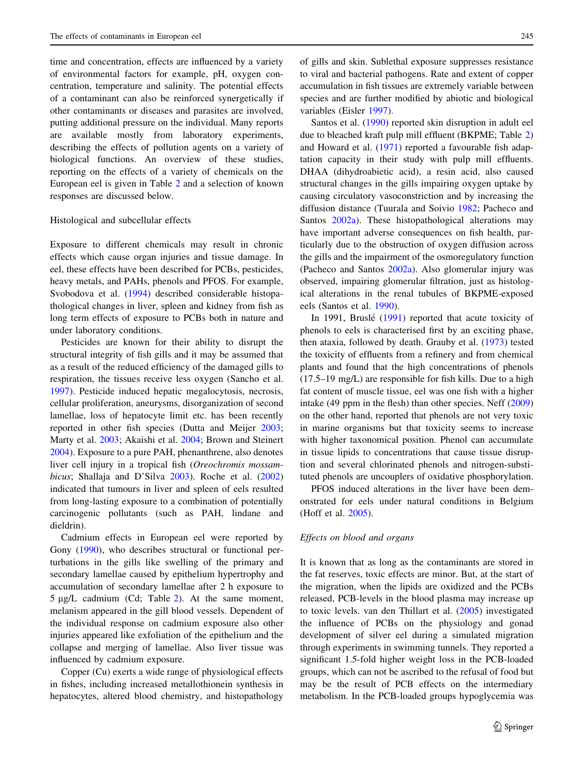time and concentration, effects are influenced by a variety of environmental factors for example, pH, oxygen concentration, temperature and salinity. The potential effects of a contaminant can also be reinforced synergetically if other contaminants or diseases and parasites are involved, putting additional pressure on the individual. Many reports are available mostly from laboratory experiments, describing the effects of pollution agents on a variety of biological functions. An overview of these studies, reporting on the effects of a variety of chemicals on the European eel is given in Table [2](#page-7-0) and a selection of known responses are discussed below.

#### Histological and subcellular effects

Exposure to different chemicals may result in chronic effects which cause organ injuries and tissue damage. In eel, these effects have been described for PCBs, pesticides, heavy metals, and PAHs, phenols and PFOS. For example, Svobodova et al. [\(1994](#page-26-0)) described considerable histopathological changes in liver, spleen and kidney from fish as long term effects of exposure to PCBs both in nature and under laboratory conditions.

Pesticides are known for their ability to disrupt the structural integrity of fish gills and it may be assumed that as a result of the reduced efficiency of the damaged gills to respiration, the tissues receive less oxygen (Sancho et al. [1997\)](#page-25-0). Pesticide induced hepatic megalocytosis, necrosis, cellular proliferation, aneurysms, disorganization of second lamellae, loss of hepatocyte limit etc. has been recently reported in other fish species (Dutta and Meijer [2003](#page-22-0); Marty et al. [2003;](#page-24-0) Akaishi et al. [2004](#page-20-0); Brown and Steinert [2004\)](#page-21-0). Exposure to a pure PAH, phenanthrene, also denotes liver cell injury in a tropical fish (Oreochromis mossambicus; Shallaja and D'Silva [2003](#page-26-0)). Roche et al. ([2002\)](#page-25-0) indicated that tumours in liver and spleen of eels resulted from long-lasting exposure to a combination of potentially carcinogenic pollutants (such as PAH, lindane and dieldrin).

Cadmium effects in European eel were reported by Gony ([1990\)](#page-22-0), who describes structural or functional perturbations in the gills like swelling of the primary and secondary lamellae caused by epithelium hypertrophy and accumulation of secondary lamellae after 2 h exposure to 5 µg/L cadmium (Cd; Table [2](#page-7-0)). At the same moment, melanism appeared in the gill blood vessels. Dependent of the individual response on cadmium exposure also other injuries appeared like exfoliation of the epithelium and the collapse and merging of lamellae. Also liver tissue was influenced by cadmium exposure.

Copper (Cu) exerts a wide range of physiological effects in fishes, including increased metallothionein synthesis in hepatocytes, altered blood chemistry, and histopathology of gills and skin. Sublethal exposure suppresses resistance to viral and bacterial pathogens. Rate and extent of copper accumulation in fish tissues are extremely variable between species and are further modified by abiotic and biological variables (Eisler [1997\)](#page-22-0).

Santos et al. [\(1990](#page-25-0)) reported skin disruption in adult eel due to bleached kraft pulp mill effluent (BKPME; Table [2\)](#page-7-0) and Howard et al. ([1971\)](#page-23-0) reported a favourable fish adaptation capacity in their study with pulp mill effluents. DHAA (dihydroabietic acid), a resin acid, also caused structural changes in the gills impairing oxygen uptake by causing circulatory vasoconstriction and by increasing the diffusion distance (Tuurala and Soivio [1982;](#page-26-0) Pacheco and Santos [2002a](#page-25-0)). These histopathological alterations may have important adverse consequences on fish health, particularly due to the obstruction of oxygen diffusion across the gills and the impairment of the osmoregulatory function (Pacheco and Santos [2002a](#page-25-0)). Also glomerular injury was observed, impairing glomerular filtration, just as histological alterations in the renal tubules of BKPME-exposed eels (Santos et al. [1990](#page-25-0)).

In 1991, Bruslé  $(1991)$  $(1991)$  reported that acute toxicity of phenols to eels is characterised first by an exciting phase, then ataxia, followed by death. Grauby et al. ([1973](#page-22-0)) tested the toxicity of effluents from a refinery and from chemical plants and found that the high concentrations of phenols (17.5–19 mg/L) are responsible for fish kills. Due to a high fat content of muscle tissue, eel was one fish with a higher intake (49 ppm in the flesh) than other species. Neff ([2009\)](#page-24-0) on the other hand, reported that phenols are not very toxic in marine organisms but that toxicity seems to increase with higher taxonomical position. Phenol can accumulate in tissue lipids to concentrations that cause tissue disruption and several chlorinated phenols and nitrogen-substituted phenols are uncouplers of oxidative phosphorylation.

PFOS induced alterations in the liver have been demonstrated for eels under natural conditions in Belgium (Hoff et al. [2005](#page-23-0)).

### Effects on blood and organs

It is known that as long as the contaminants are stored in the fat reserves, toxic effects are minor. But, at the start of the migration, when the lipids are oxidized and the PCBs released, PCB-levels in the blood plasma may increase up to toxic levels. van den Thillart et al. ([2005\)](#page-26-0) investigated the influence of PCBs on the physiology and gonad development of silver eel during a simulated migration through experiments in swimming tunnels. They reported a significant 1.5-fold higher weight loss in the PCB-loaded groups, which can not be ascribed to the refusal of food but may be the result of PCB effects on the intermediary metabolism. In the PCB-loaded groups hypoglycemia was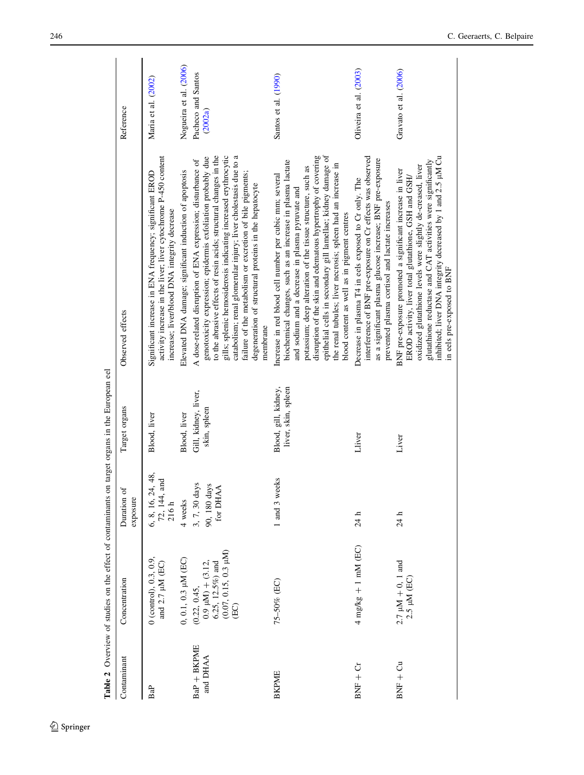<span id="page-7-0"></span>

|                           | Table 2 Overview of studies on the effect of contaminants                                                   |                                           | on target organs in the European eel        |                                                                                                                                                                                                                                                                                                                                                                                                                                                                                          |                               |
|---------------------------|-------------------------------------------------------------------------------------------------------------|-------------------------------------------|---------------------------------------------|------------------------------------------------------------------------------------------------------------------------------------------------------------------------------------------------------------------------------------------------------------------------------------------------------------------------------------------------------------------------------------------------------------------------------------------------------------------------------------------|-------------------------------|
| Contaminant               | Concentration                                                                                               | ð<br>exposure<br>Duration                 | Target organs                               | Observed effects                                                                                                                                                                                                                                                                                                                                                                                                                                                                         | Reference                     |
| BaP                       | 0 (control), $0.3$ , $0.9$ ,<br>and $2.7 \mu M$ (EC)                                                        | 6, 8, 16, 24, 48, 72, 144, and<br>216 h   | Blood, liver                                | activity increase in the liver; liver cytochrome P-450 content<br>Significant increase in ENA frequency; significant EROD<br>increase; liver/blood DNA integrity decrease                                                                                                                                                                                                                                                                                                                | Maria et al. (2002)           |
|                           | $0, 0.1, 0.3$ $\upmu\textrm{M}$ (EC)                                                                        | 4 weeks                                   | Blood, liver                                | Elevated DNA damage; significant induction of apoptosis                                                                                                                                                                                                                                                                                                                                                                                                                                  | Nogueira et al. (2006)        |
| $BaP + BKPME$<br>and DHAA | (0.22, 0.45,<br>0.9 $\mu M$ ) + (3.12,<br>6.25, 12.5%) and<br>(0.07, 0.15, 0.3 $\mu M$ )<br>$\overline{EC}$ | 3, 7, 30 days<br>90, 180 days<br>for DHAA | Gill, kidney, liver,<br>skin, spleen        | catabolism; renal glomerular injury; liver cholestasis due to a<br>gills; splenic hemosiderosis indicating increased erythrocytic<br>to the abrasive effects of resin acids; structural changes in the<br>genotoxicity expression; epidermis exfoliation probably due<br>A dose-related disruption of ENA expression; disturbance of<br>failure of the metabolism or excretion of bile pigments;<br>degeneration of structural proteins in the hepatocyte<br>membrane                    | Pacheco and Santos<br>(2002a) |
| <b>BKPME</b>              | 75-50% (EC)                                                                                                 | reks<br>1 and 3 $w$                       | liver, skin, spleen<br>Blood, gill, kidney, | disruption of the skin and edematous hypertrophy of covering<br>epithelial cells in secondary gill lamellae; kidney damage of<br>biochemical changes, such as an increase in plasma lactate<br>the renal tubules; liver necrosis; spleen had an increase in<br>potassium; deep alteration of the tissue structure, such as<br>Increase in red blood cell number per cubic mm; several<br>and sodium and a decrease in plasma pyruvate and<br>blood content as well as in pigment centres | Santos et al. (1990)          |
| $BNF + Ct$                | $4 \text{ mg/kg} + 1 \text{ mM (EC)}$                                                                       | 24 h                                      | Lliver                                      | interference of BNF pre-exposure on Cr effects was observed<br>as a significant plasma glucose increase; BNF pre-exposure<br>Decrease in plasma T4 in eels exposed to Cr only. The<br>prevented plasma cortisol and lactate increases                                                                                                                                                                                                                                                    | Oliveira et al. (2003)        |
| $BNF + Cu$                | $2.7~\upmu\mathrm{M}$ + 0, 1 and<br>2.5 µM (EC)                                                             | 24 h                                      | Liver                                       | inhibited; liver DNA integrity decreased by 1 and 2.5 µM Cu<br>glutathione reductase and CAT activities were significantly<br>oxidized glutathione levels were slightly de-creased, liver<br>BNF pre-exposure promoted a significant increase in liver<br>EROD activity, liver total glutathione, GSH and GSH/<br>in eels pre-exposed to BNF                                                                                                                                             | Gravato et al. (2006)         |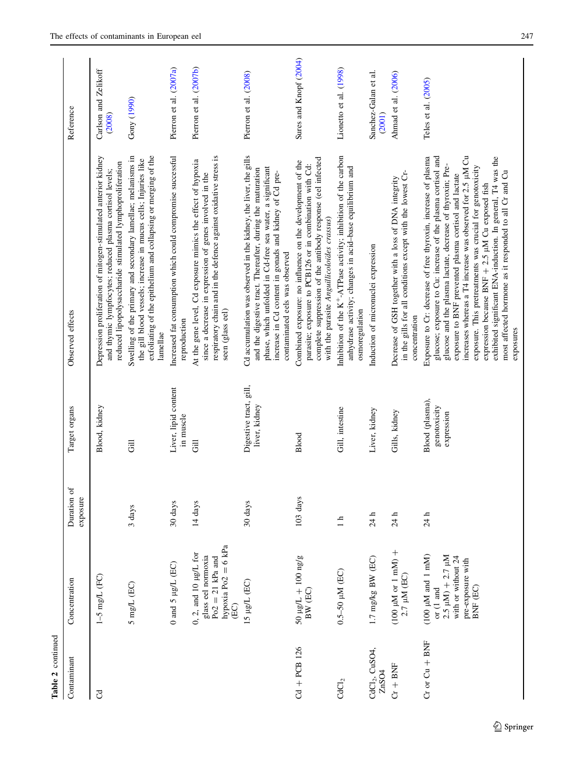| Table 2 continued            |                                                                                                                                              |                            |                                               |                                                                                                                                                                                                                                                                                                                                                                                                                                                                                                                                                                                 |                                |
|------------------------------|----------------------------------------------------------------------------------------------------------------------------------------------|----------------------------|-----------------------------------------------|---------------------------------------------------------------------------------------------------------------------------------------------------------------------------------------------------------------------------------------------------------------------------------------------------------------------------------------------------------------------------------------------------------------------------------------------------------------------------------------------------------------------------------------------------------------------------------|--------------------------------|
| Contaminant                  | Concentration                                                                                                                                | ЪÇ<br>exposure<br>Duration | Target organs                                 | Observed effects                                                                                                                                                                                                                                                                                                                                                                                                                                                                                                                                                                | Reference                      |
| $_{\rm{Cd}}$                 | $1-5$ mg/L (FC)                                                                                                                              |                            | Blood, kidney                                 | Depression proliferation of mitogen-stimulated anterior kidney<br>reduced lipopolysaccharide stimulated lymphoproliferation<br>and thymic lympfocytes; reduced plasma cortisol levels;                                                                                                                                                                                                                                                                                                                                                                                          | Carlson and Zelikoff<br>(2008) |
|                              | 5 mg/L (EC)                                                                                                                                  | 3 days                     | $\overline{3}$                                | exfoliating of the epithelium and collapsing or merging of the<br>Swelling of the primary and secondary lamellae; melanisms in<br>the gill blood vessels; increase in mucus cells; Injuries like<br>lamellae                                                                                                                                                                                                                                                                                                                                                                    | Gony (1990)                    |
|                              | 0 and 5 µg/L (EC)                                                                                                                            | 30 days                    | Liver, lipid content<br>in muscle             | Increased fat consumption which could compromise successful<br>reproduction                                                                                                                                                                                                                                                                                                                                                                                                                                                                                                     | Pierron et al. (2007a)         |
|                              | hypoxia Po $2 = 6$ kPa<br>$0, 2,$ and $10 \mu g/L$ for<br>glass eel normoxia<br>$Po2 = 21$ kPa and<br>(EC)                                   | 14 days                    | 큥                                             | respiratory chain and in the defence against oxidative stress is<br>At the gene level, Cd exposure mimics the effect of hypoxia<br>since a decrease in expression of genes involved in the<br>seen (glass eel)                                                                                                                                                                                                                                                                                                                                                                  | Pierron et al. (2007b)         |
|                              | 15 µg/L (EC)                                                                                                                                 | 30 days                    | Digestive tract, gill,<br>liver, kidney       | Cd accumulation was observed in the kidney, the liver, the gills<br>phase, which unfolded in Cd-free sea water, a significant<br>and the digestive tract. Thereafter, during the maturation<br>increase in Cd content in gonads and kidney of Cd pre-<br>contaminated eels was observed                                                                                                                                                                                                                                                                                         | Pierron et al. (2008)          |
| $Cd + PCB$ 126               | $30 \mu g/L + 100 \text{ n}g/g$<br>$BW$ $\left( \mathrm{EC} \right)$                                                                         | 103 days                   | Blood                                         | complete suppression of the antibody response (eel infected<br>Combined exposure: no influence on the development of the<br>parasite; exposure to PCB126 or in combination with Cd:<br>with the parasite Anguillicoloides crassus)                                                                                                                                                                                                                                                                                                                                              | Sures and Knopf (2004)         |
| CdCl <sub>2</sub>            | $0.5-50$ $\mu$ M (EC)                                                                                                                        | 1 h                        | Gill, intestine                               | Inhibition of the $K^+$ -ATPase activity; inhibition of the carbon<br>anhydrase activity; changes in acid-base equilibrium and<br>osmoregulation                                                                                                                                                                                                                                                                                                                                                                                                                                | Lionetto et al. (1998)         |
| $CdCl2$ , $CuSO4$ ,<br>ZnSO4 | $1.7 \text{ mg/kg BW (EC)}$                                                                                                                  | 24 h                       | Liver, kidney                                 | Induction of micronuclei expression                                                                                                                                                                                                                                                                                                                                                                                                                                                                                                                                             | Sanchez-Galan et al.<br>(2001) |
| $Cr + BNF$                   | (100 µM or 1 mM) +<br>$2.7 \mu M$ (EC)                                                                                                       | 24 h                       | Gills, kidney                                 | in the gills for all conditions except with the lowest Cr-<br>Decrease of GSH together with a loss of DNA integrity<br>concentration                                                                                                                                                                                                                                                                                                                                                                                                                                            | Ahmad et al. (2006)            |
| $Cr$ or $Cu + BNF$           | $(100 \mu M \text{ and } 1 \text{ mM})$<br>$2.5 \mu M$ ) + $2.7 \mu M$<br>with or without 24<br>pre-exposure with<br>BNF (EC)<br>or $(1$ and | 24 h                       | Blood (plasma),<br>genotoxicity<br>expression | glucose; exposure to Cu: increase of the plasma cortisol and<br>increases whereas a T4 increase was observed for 2.5 µM Cu<br>exhibited significant ENA-induction. In general, T4 was the<br>Exposure to Cr: decrease of free thyroxin, increase of plasma<br>glucose and the plasma lactate, decrease of thyroxin; Pre-<br>exposure. This pretreatments was crucial for genotoxicity<br>most affected hormone as it responded to all Cr and Cu<br>exposure to BNF prevented plasma cortisol and lactate<br>expression because BNF $+$ 2.5 $\mu$ M Cu exposed fish<br>exposures | Teles et al. (2005)            |

 $2$  Springer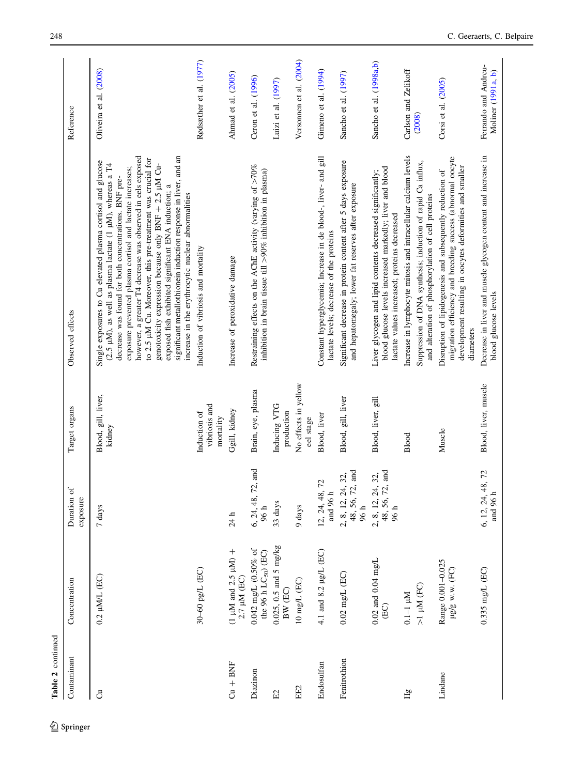| Table 2 continued |                                                      |                                              |                                            |                                                                                                                                                                                                                                                                                                                                                                                                                                                                                                                                                                                                                    |                                            |
|-------------------|------------------------------------------------------|----------------------------------------------|--------------------------------------------|--------------------------------------------------------------------------------------------------------------------------------------------------------------------------------------------------------------------------------------------------------------------------------------------------------------------------------------------------------------------------------------------------------------------------------------------------------------------------------------------------------------------------------------------------------------------------------------------------------------------|--------------------------------------------|
| Contaminant       | Concentration                                        | Duration of<br>exposure                      | Target organs                              | Observed effects                                                                                                                                                                                                                                                                                                                                                                                                                                                                                                                                                                                                   | Reference                                  |
| ්                 | $0.2$ $\mu$ ML (EC)                                  | 7 days                                       | Blood, gill, liver,<br>kidney              | significant metallothionein induction response in liver, and an<br>however, a greater T4 decrease was observed in eels exposed<br>to 2.5 µM Cu. Moreover, this pre-treatment was crucial for<br>Single exposures to Cu elevated plasma cortisol and glucose<br>genotoxicity expression because only BNF + 2.5 µM Cu-<br>(2.5 µM), as well as plasma lactate (1 µM), whereas a T4<br>exposure prevented plasma cortisol and lactate increases;<br>decrease was found for both concentrations. BNF pre-<br>exposed fish exhibited significant ENA induction; a<br>increase in the erythrocytic nuclear abnormalities | Oliveira et al. (2008)                     |
|                   | 30-60 pg/L (EC)                                      |                                              | vibriosis and<br>Induction of<br>mortality | Induction of vibriosis and mortality                                                                                                                                                                                                                                                                                                                                                                                                                                                                                                                                                                               | Rødsæther et al. (1977)                    |
| $Cu + BNF$        | $(1 \mu M$ and 2.5 $\mu M$ ) +<br>2.7 µM (EC)        | 24 h                                         | Ggill, kidney                              | Increase of peroxidative damage                                                                                                                                                                                                                                                                                                                                                                                                                                                                                                                                                                                    | Ahmad et al. (2005)                        |
| Diazinon          | $0.042$ mg/L $(0.50\%$ of<br>the 96 h $LC_{50}$ (EC) | $72$ , and<br>6, 24, 48,<br>96 h             | Brain, eye, plasma                         | Restraining effects on the AChE activity (varying of $>70\%$<br>inhibition in brain tissue till >90% inhibition in plasma)                                                                                                                                                                                                                                                                                                                                                                                                                                                                                         | Ceron et al. (1996)                        |
| $\Xi$             | $0.025$ , 0.5 and 5 mg/kg<br>BW (EC)                 | 33 days                                      | Inducing VTG<br>production                 |                                                                                                                                                                                                                                                                                                                                                                                                                                                                                                                                                                                                                    | Luizi et al. (1997)                        |
| EE2               | 10 mg/L (EC)                                         | 9 days                                       | No effects in yellow<br>eel stage          |                                                                                                                                                                                                                                                                                                                                                                                                                                                                                                                                                                                                                    | Versonnen et al. $(2004)$                  |
| Endosulfan        | 4.1 and 8.2 µg/L (EC)                                | 72<br>12, 24, 48,<br>and 96 h                | Blood, liver                               | Constant hyperglycemia; Increase in de blood-, liver- and gill<br>lactate levels; decrease of the proteins                                                                                                                                                                                                                                                                                                                                                                                                                                                                                                         | Gimeno et al. $(1994)$                     |
| Fenitrothion      | $0.02$ mg/L (EC)                                     | 2, 8, 12, 24, 32,<br>48, 56, 72, and<br>96 h | Blood, gill, liver                         | Significant decrease in protein content after 5 days exposure<br>and hepatomegaly; lower fat reserves after exposure                                                                                                                                                                                                                                                                                                                                                                                                                                                                                               | Sancho et al. (1997)                       |
|                   | $0.02$ and $0.04$ mg/L<br>$\bigoplus$                | 48, 56, 72, and<br>2, 8, 12, 24, 32,<br>96 h | Blood, liver, gill                         | blood glucose levels increased markedly; liver and blood<br>Liver glycogen and lipid contents decreased significantly;<br>lactate values increased; proteins decreased                                                                                                                                                                                                                                                                                                                                                                                                                                             | Sancho et al. (1998a,b)                    |
| Нg                | >1 µM (FC)<br>$0.1 - 1$ $\mu$ M                      |                                              | Blood                                      | Increase in lymphocyte mitosis and intracellular calcium levels<br>Suppression of DNA synthesis; induction of rapid Ca influx,<br>and alteration of phosphorylation of cell proteins                                                                                                                                                                                                                                                                                                                                                                                                                               | Carlson and Zelikoff<br>(2008)             |
| Lindane           | Range 0.001-0.025<br>$\mu g/g$ w.w. (FC)             |                                              | Muscle                                     | migration efficiency and breeding success (abnormal oocyte<br>development resulting in oocytes deformities and smaller<br>Disruption of lipidogenesis and subsequently reduction of<br>diameters                                                                                                                                                                                                                                                                                                                                                                                                                   | Corsi et al. (2005)                        |
|                   | $0.335$ mg/L (EC)                                    | 6, 12, 24, 48, 72<br>and 96 h                | Blood, liver, muscle                       | Decrease in liver and muscle glycogen content and increase in<br>blood glucose levels                                                                                                                                                                                                                                                                                                                                                                                                                                                                                                                              | Ferrando and Andreu-<br>Moliner (1991a, b) |

 $\underline{\textcircled{\tiny 2}}$  Springer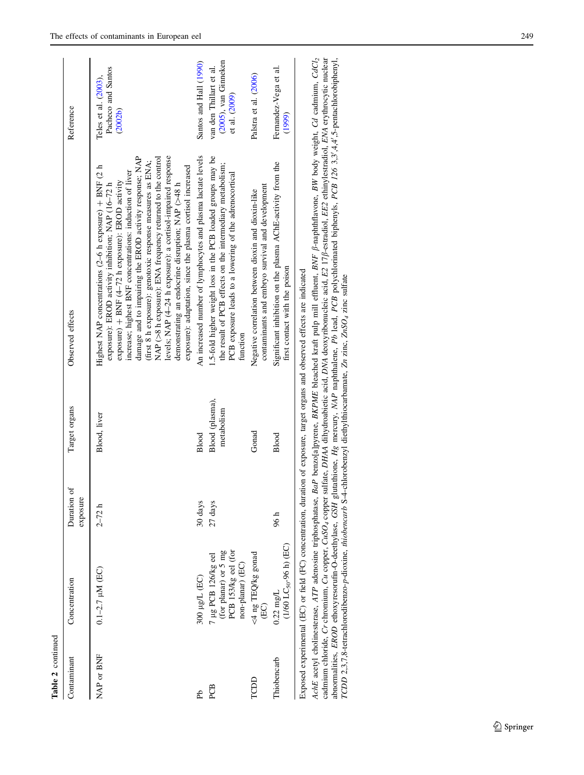| Table 2 continued |                                                                                                     |                                  |                               |                                                                                                                                                                                                                                                                                                                                                                                                                                                                                                                                                                                                                 |                                                                  |
|-------------------|-----------------------------------------------------------------------------------------------------|----------------------------------|-------------------------------|-----------------------------------------------------------------------------------------------------------------------------------------------------------------------------------------------------------------------------------------------------------------------------------------------------------------------------------------------------------------------------------------------------------------------------------------------------------------------------------------------------------------------------------------------------------------------------------------------------------------|------------------------------------------------------------------|
| Contaminant       | Concentration                                                                                       | $\sigma$<br>Duration<br>exposure | Target organs                 | Observed effects                                                                                                                                                                                                                                                                                                                                                                                                                                                                                                                                                                                                | Reference                                                        |
| NAP or BNF        | $0.1 - 2.7$ $\mu$ M (EC)                                                                            | $2 - 72 h$                       | Blood, liver                  | damage and to impairing the EROD activity response; NAP<br>levels; NAP (4-24 h exposure): a cortisol-impaired response<br>NAP (>8 h exposure): ENA frequency returned to the control<br>(first 8 h exposure): genotoxic response measures as ENA;<br>exposure): adaptation, since the plasma cortisol increased<br>Highest NAP concentrations (2-6 h exposure) $+$ BNF (2 h<br>increase; highest BNF concentrations: induction of liver<br>$\exp(0.4 - 12)$ = BNF (4-72 h exposure): EROD activity<br>exposure): EROD activity inhibition; NAP (16-72 h<br>demonstrating an endocrine disruption; NAP $($ >48 h | Pacheco and Santos<br>Teles et al. (2003),<br>(2002b)            |
| Рb                | 300 µg/L (EC)                                                                                       | 30 days                          | Blood                         | An increased number of lymphocytes and plasma lactate levels                                                                                                                                                                                                                                                                                                                                                                                                                                                                                                                                                    | Santos and Hall (1990)                                           |
| PCB               | (for planar) or $5 \text{ mg}$<br>PCB 153 $k$ g eel (for<br>7 µg PCB 126/kg eel<br>non-planar) (EC) | 27 days                          | Blood (plasma),<br>metabolism | 1.5-fold higher weight loss in the PCB loaded groups may be<br>the result of PCB effects on the intermediary metabolism;<br>PCB exposure leads to a lowering of the adrenocortical<br>function                                                                                                                                                                                                                                                                                                                                                                                                                  | (2005), van Ginneken<br>van den Thillart et al.<br>et al. (2009) |
| rcDD              | <4 ng TEQ/kg gonad<br>$\widehat{\Xi}$                                                               |                                  | Gonad                         | contaminants and embryo survival and development<br>Negative correlation between dioxin and dioxin-like                                                                                                                                                                                                                                                                                                                                                                                                                                                                                                         | Palstra et al. (2006)                                            |
| Thiobencarb       | $(1/60$ LC <sub>50</sub> -96 h) (EC)<br>$0.22$ mg/L                                                 | 96 h                             | Blood                         | Significant inhibition on the plasma AChE-activity from the<br>first contact with the poison                                                                                                                                                                                                                                                                                                                                                                                                                                                                                                                    | Fernandez-Vega et al.<br>(1999)                                  |
|                   |                                                                                                     |                                  |                               | Exposed experimental (EC) or field (FC) concentration, duration of exposure, target organs and observed effects are indicated                                                                                                                                                                                                                                                                                                                                                                                                                                                                                   |                                                                  |

AchE acetyl cholinesterase, ATP adenosine triphosphatase, BaP benzo[alpyrene, BKPME bleached kraft pulp mill effluent, BNF  $\beta$ -naphthflavone, BW body weight, Cd cadmium, CdC<sub>2</sub> cadmium chloride, Cr chromium, CuCO<sub>2</sub> coppe AchE acetyl cholinesterase, ATP adenosine triphosphatase, BaP benzo[a]pyrene, BKPME bleached kraft pulp mill effluent, BNF b-naphthflavone, BW body weight, Cd cadmium, CdCl2 cadmium chloride, Cr chromium, Cu copper, CuSO4 copper sulfate, DHAA dihydroabietic acid, DNA deoxyribonucleic acid, E2 17ß-estradiol, EE2 ethinylestradiol, ENA erythrocytic nuclear abnormalities, *EROD* ethoxyresorufin-O-deethylase, GSH glutathione, Hg mercury, NAP naphthalene, Pb lead, PCB polychlorinated biphenyls, PCB 126 3,3',4,4',5-pentachlorobiphenyl,  $TCDD$  2,3,7,8-tetrachlorodibenzo-p-dioxine, thiobencarb S-4-chlorobenzyl diethylthiocarbamate, Zn zinc, ZnSO<sub>4</sub> zinc sulfate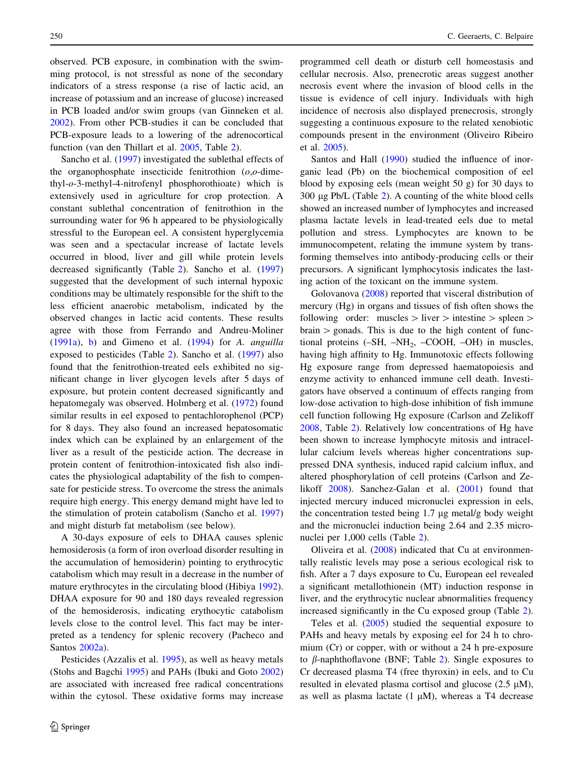observed. PCB exposure, in combination with the swimming protocol, is not stressful as none of the secondary indicators of a stress response (a rise of lactic acid, an increase of potassium and an increase of glucose) increased in PCB loaded and/or swim groups (van Ginneken et al. [2002\)](#page-26-0). From other PCB-studies it can be concluded that PCB-exposure leads to a lowering of the adrenocortical function (van den Thillart et al. [2005,](#page-26-0) Table [2\)](#page-7-0).

Sancho et al. [\(1997](#page-25-0)) investigated the sublethal effects of the organophosphate insecticide fenitrothion  $(o, o$ -dimethyl-o-3-methyl-4-nitrofenyl phosphorothioate) which is extensively used in agriculture for crop protection. A constant sublethal concentration of fenitrothion in the surrounding water for 96 h appeared to be physiologically stressful to the European eel. A consistent hyperglycemia was seen and a spectacular increase of lactate levels occurred in blood, liver and gill while protein levels decreased significantly (Table [2](#page-7-0)). Sancho et al. ([1997\)](#page-25-0) suggested that the development of such internal hypoxic conditions may be ultimately responsible for the shift to the less efficient anaerobic metabolism, indicated by the observed changes in lactic acid contents. These results agree with those from Ferrando and Andreu-Moliner [\(1991a\)](#page-22-0), [b](#page-22-0)) and Gimeno et al. ([1994\)](#page-22-0) for A. anguilla exposed to pesticides (Table [2](#page-7-0)). Sancho et al. [\(1997](#page-25-0)) also found that the fenitrothion-treated eels exhibited no significant change in liver glycogen levels after 5 days of exposure, but protein content decreased significantly and hepatomegaly was observed. Holmberg et al. ([1972\)](#page-23-0) found similar results in eel exposed to pentachlorophenol (PCP) for 8 days. They also found an increased hepatosomatic index which can be explained by an enlargement of the liver as a result of the pesticide action. The decrease in protein content of fenitrothion-intoxicated fish also indicates the physiological adaptability of the fish to compensate for pesticide stress. To overcome the stress the animals require high energy. This energy demand might have led to the stimulation of protein catabolism (Sancho et al. [1997\)](#page-25-0) and might disturb fat metabolism (see below).

A 30-days exposure of eels to DHAA causes splenic hemosiderosis (a form of iron overload disorder resulting in the accumulation of hemosiderin) pointing to erythrocytic catabolism which may result in a decrease in the number of mature erythrocytes in the circulating blood (Hibiya [1992](#page-23-0)). DHAA exposure for 90 and 180 days revealed regression of the hemosiderosis, indicating erythocytic catabolism levels close to the control level. This fact may be interpreted as a tendency for splenic recovery (Pacheco and Santos [2002a](#page-25-0)).

Pesticides (Azzalis et al. [1995\)](#page-21-0), as well as heavy metals (Stohs and Bagchi [1995](#page-26-0)) and PAHs (Ibuki and Goto [2002\)](#page-23-0) are associated with increased free radical concentrations within the cytosol. These oxidative forms may increase programmed cell death or disturb cell homeostasis and cellular necrosis. Also, prenecrotic areas suggest another necrosis event where the invasion of blood cells in the tissue is evidence of cell injury. Individuals with high incidence of necrosis also displayed prenecrosis, strongly suggesting a continuous exposure to the related xenobiotic compounds present in the environment (Oliveiro Ribeiro et al. [2005\)](#page-25-0).

Santos and Hall ([1990\)](#page-25-0) studied the influence of inorganic lead (Pb) on the biochemical composition of eel blood by exposing eels (mean weight 50 g) for 30 days to 300 µg Pb/L (Table [2](#page-7-0)). A counting of the white blood cells showed an increased number of lymphocytes and increased plasma lactate levels in lead-treated eels due to metal pollution and stress. Lymphocytes are known to be immunocompetent, relating the immune system by transforming themselves into antibody-producing cells or their precursors. A significant lymphocytosis indicates the lasting action of the toxicant on the immune system.

Golovanova ([2008](#page-22-0)) reported that visceral distribution of mercury (Hg) in organs and tissues of fish often shows the following order: muscles  $\geq$  liver  $\geq$  intestine  $\geq$  spleen  $\geq$  $brain$   $>$  gonads. This is due to the high content of functional proteins  $(-SH, -NH_2, -COOH, -OH)$  in muscles, having high affinity to Hg. Immunotoxic effects following Hg exposure range from depressed haematopoiesis and enzyme activity to enhanced immune cell death. Investigators have observed a continuum of effects ranging from low-dose activation to high-dose inhibition of fish immune cell function following Hg exposure (Carlson and Zelikoff [2008](#page-21-0), Table [2](#page-7-0)). Relatively low concentrations of Hg have been shown to increase lymphocyte mitosis and intracellular calcium levels whereas higher concentrations suppressed DNA synthesis, induced rapid calcium influx, and altered phosphorylation of cell proteins (Carlson and Zelikoff [2008](#page-21-0)). Sanchez-Galan et al. [\(2001](#page-25-0)) found that injected mercury induced micronuclei expression in eels, the concentration tested being  $1.7 \mu$ g metal/g body weight and the micronuclei induction being 2.64 and 2.35 micronuclei per 1,000 cells (Table [2](#page-7-0)).

Oliveira et al. [\(2008](#page-25-0)) indicated that Cu at environmentally realistic levels may pose a serious ecological risk to fish. After a 7 days exposure to Cu, European eel revealed a significant metallothionein (MT) induction response in liver, and the erythrocytic nuclear abnormalities frequency increased significantly in the Cu exposed group (Table [2](#page-7-0)).

Teles et al. ([2005\)](#page-26-0) studied the sequential exposure to PAHs and heavy metals by exposing eel for 24 h to chromium (Cr) or copper, with or without a 24 h pre-exposure to  $\beta$ -naphthoflavone (BNF; Table [2](#page-7-0)). Single exposures to Cr decreased plasma T4 (free thyroxin) in eels, and to Cu resulted in elevated plasma cortisol and glucose  $(2.5 \mu M)$ , as well as plasma lactate  $(1 \mu M)$ , whereas a T4 decrease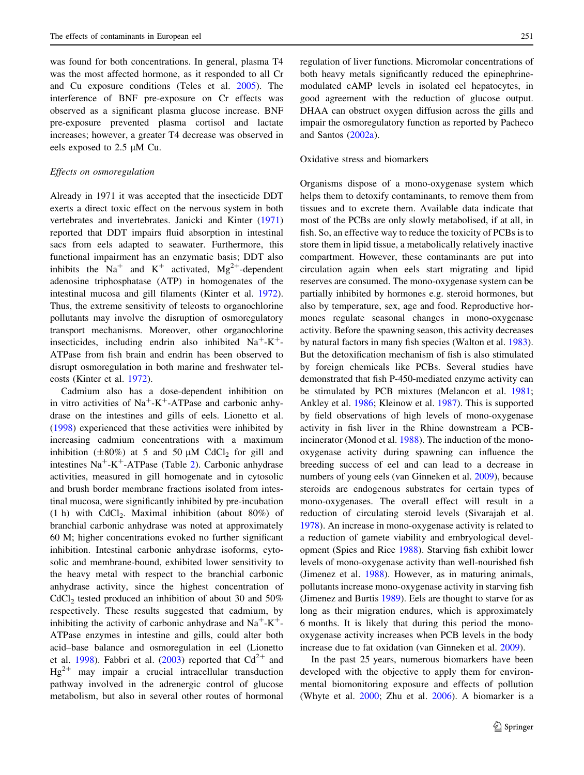was found for both concentrations. In general, plasma T4 was the most affected hormone, as it responded to all Cr and Cu exposure conditions (Teles et al. [2005](#page-26-0)). The interference of BNF pre-exposure on Cr effects was observed as a significant plasma glucose increase. BNF pre-exposure prevented plasma cortisol and lactate increases; however, a greater T4 decrease was observed in eels exposed to  $2.5 \mu M$  Cu.

#### Effects on osmoregulation

Already in 1971 it was accepted that the insecticide DDT exerts a direct toxic effect on the nervous system in both vertebrates and invertebrates. Janicki and Kinter ([1971\)](#page-23-0) reported that DDT impairs fluid absorption in intestinal sacs from eels adapted to seawater. Furthermore, this functional impairment has an enzymatic basis; DDT also inhibits the Na<sup>+</sup> and K<sup>+</sup> activated, Mg<sup>2+</sup>-dependent adenosine triphosphatase (ATP) in homogenates of the intestinal mucosa and gill filaments (Kinter et al. [1972](#page-23-0)). Thus, the extreme sensitivity of teleosts to organochlorine pollutants may involve the disruption of osmoregulatory transport mechanisms. Moreover, other organochlorine insecticides, including endrin also inhibited  $Na^+ - K^+$ ATPase from fish brain and endrin has been observed to disrupt osmoregulation in both marine and freshwater teleosts (Kinter et al. [1972](#page-23-0)).

Cadmium also has a dose-dependent inhibition on in vitro activities of  $Na^+$ -K<sup>+</sup>-ATPase and carbonic anhydrase on the intestines and gills of eels. Lionetto et al. [\(1998](#page-24-0)) experienced that these activities were inhibited by increasing cadmium concentrations with a maximum inhibition  $(\pm 80\%)$  at 5 and 50 µM CdCl<sub>2</sub> for gill and intestines  $Na^+ - K^+$ -ATPase (Table [2](#page-7-0)). Carbonic anhydrase activities, measured in gill homogenate and in cytosolic and brush border membrane fractions isolated from intestinal mucosa, were significantly inhibited by pre-incubation (1 h) with  $CdCl<sub>2</sub>$ . Maximal inhibition (about 80%) of branchial carbonic anhydrase was noted at approximately 60 M; higher concentrations evoked no further significant inhibition. Intestinal carbonic anhydrase isoforms, cytosolic and membrane-bound, exhibited lower sensitivity to the heavy metal with respect to the branchial carbonic anhydrase activity, since the highest concentration of  $CdCl<sub>2</sub>$  tested produced an inhibition of about 30 and 50% respectively. These results suggested that cadmium, by inhibiting the activity of carbonic anhydrase and  $Na^+ - K^+$ ATPase enzymes in intestine and gills, could alter both acid–base balance and osmoregulation in eel (Lionetto et al. [1998](#page-24-0)). Fabbri et al.  $(2003)$  $(2003)$  reported that  $Cd^{2+}$  and  $Hg^{2+}$  may impair a crucial intracellular transduction pathway involved in the adrenergic control of glucose metabolism, but also in several other routes of hormonal regulation of liver functions. Micromolar concentrations of both heavy metals significantly reduced the epinephrinemodulated cAMP levels in isolated eel hepatocytes, in good agreement with the reduction of glucose output. DHAA can obstruct oxygen diffusion across the gills and impair the osmoregulatory function as reported by Pacheco and Santos [\(2002a\)](#page-25-0).

## Oxidative stress and biomarkers

Organisms dispose of a mono-oxygenase system which helps them to detoxify contaminants, to remove them from tissues and to excrete them. Available data indicate that most of the PCBs are only slowly metabolised, if at all, in fish. So, an effective way to reduce the toxicity of PCBs is to store them in lipid tissue, a metabolically relatively inactive compartment. However, these contaminants are put into circulation again when eels start migrating and lipid reserves are consumed. The mono-oxygenase system can be partially inhibited by hormones e.g. steroid hormones, but also by temperature, sex, age and food. Reproductive hormones regulate seasonal changes in mono-oxygenase activity. Before the spawning season, this activity decreases by natural factors in many fish species (Walton et al. [1983](#page-26-0)). But the detoxification mechanism of fish is also stimulated by foreign chemicals like PCBs. Several studies have demonstrated that fish P-450-mediated enzyme activity can be stimulated by PCB mixtures (Melancon et al. [1981](#page-24-0); Ankley et al. [1986;](#page-21-0) Kleinow et al. [1987](#page-23-0)). This is supported by field observations of high levels of mono-oxygenase activity in fish liver in the Rhine downstream a PCBincinerator (Monod et al. [1988](#page-24-0)). The induction of the monooxygenase activity during spawning can influence the breeding success of eel and can lead to a decrease in numbers of young eels (van Ginneken et al. [2009](#page-26-0)), because steroids are endogenous substrates for certain types of mono-oxygenases. The overall effect will result in a reduction of circulating steroid levels (Sivarajah et al. [1978](#page-26-0)). An increase in mono-oxygenase activity is related to a reduction of gamete viability and embryological development (Spies and Rice [1988\)](#page-26-0). Starving fish exhibit lower levels of mono-oxygenase activity than well-nourished fish (Jimenez et al. [1988](#page-23-0)). However, as in maturing animals, pollutants increase mono-oxygenase activity in starving fish (Jimenez and Burtis [1989\)](#page-23-0). Eels are thought to starve for as long as their migration endures, which is approximately 6 months. It is likely that during this period the monooxygenase activity increases when PCB levels in the body increase due to fat oxidation (van Ginneken et al. [2009](#page-26-0)).

In the past 25 years, numerous biomarkers have been developed with the objective to apply them for environmental biomonitoring exposure and effects of pollution (Whyte et al. [2000;](#page-27-0) Zhu et al. [2006\)](#page-27-0). A biomarker is a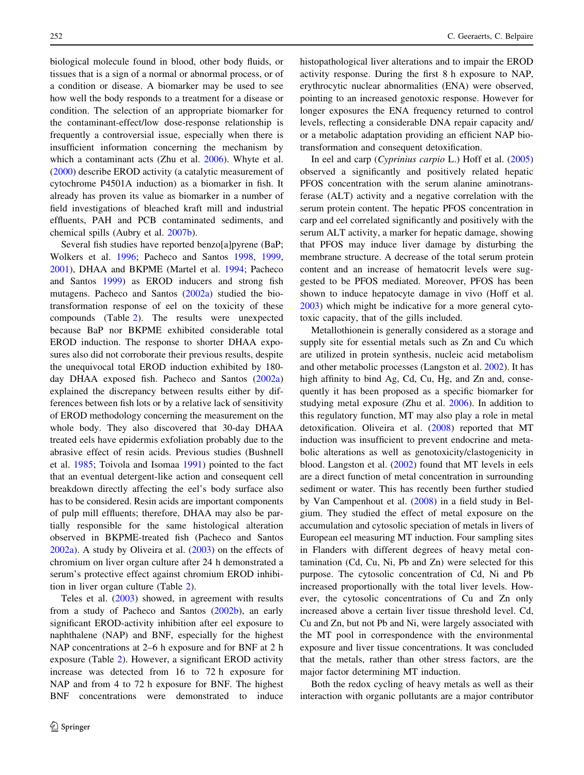biological molecule found in blood, other body fluids, or tissues that is a sign of a normal or abnormal process, or of a condition or disease. A biomarker may be used to see how well the body responds to a treatment for a disease or condition. The selection of an appropriate biomarker for the contaminant-effect/low dose-response relationship is frequently a controversial issue, especially when there is insufficient information concerning the mechanism by which a contaminant acts (Zhu et al. [2006](#page-27-0)). Whyte et al. [\(2000](#page-27-0)) describe EROD activity (a catalytic measurement of cytochrome P4501A induction) as a biomarker in fish. It already has proven its value as biomarker in a number of field investigations of bleached kraft mill and industrial effluents, PAH and PCB contaminated sediments, and chemical spills (Aubry et al. [2007b\)](#page-21-0).

Several fish studies have reported benzo[a]pyrene (BaP; Wolkers et al. [1996;](#page-27-0) Pacheco and Santos [1998,](#page-25-0) [1999,](#page-25-0) [2001\)](#page-25-0), DHAA and BKPME (Martel et al. [1994;](#page-24-0) Pacheco and Santos [1999\)](#page-25-0) as EROD inducers and strong fish mutagens. Pacheco and Santos [\(2002a\)](#page-25-0) studied the biotransformation response of eel on the toxicity of these compounds (Table [2\)](#page-7-0). The results were unexpected because BaP nor BKPME exhibited considerable total EROD induction. The response to shorter DHAA exposures also did not corroborate their previous results, despite the unequivocal total EROD induction exhibited by 180 day DHAA exposed fish. Pacheco and Santos [\(2002a\)](#page-25-0) explained the discrepancy between results either by differences between fish lots or by a relative lack of sensitivity of EROD methodology concerning the measurement on the whole body. They also discovered that 30-day DHAA treated eels have epidermis exfoliation probably due to the abrasive effect of resin acids. Previous studies (Bushnell et al. [1985](#page-21-0); Toivola and Isomaa [1991\)](#page-26-0) pointed to the fact that an eventual detergent-like action and consequent cell breakdown directly affecting the eel's body surface also has to be considered. Resin acids are important components of pulp mill effluents; therefore, DHAA may also be partially responsible for the same histological alteration observed in BKPME-treated fish (Pacheco and Santos [2002a](#page-25-0)). A study by Oliveira et al. ([2003\)](#page-25-0) on the effects of chromium on liver organ culture after 24 h demonstrated a serum's protective effect against chromium EROD inhibition in liver organ culture (Table [2\)](#page-7-0).

Teles et al. ([2003\)](#page-26-0) showed, in agreement with results from a study of Pacheco and Santos ([2002b](#page-25-0)), an early significant EROD-activity inhibition after eel exposure to naphthalene (NAP) and BNF, especially for the highest NAP concentrations at 2–6 h exposure and for BNF at 2 h exposure (Table [2\)](#page-7-0). However, a significant EROD activity increase was detected from 16 to 72 h exposure for NAP and from 4 to 72 h exposure for BNF. The highest BNF concentrations were demonstrated to induce histopathological liver alterations and to impair the EROD activity response. During the first 8 h exposure to NAP, erythrocytic nuclear abnormalities (ENA) were observed, pointing to an increased genotoxic response. However for longer exposures the ENA frequency returned to control levels, reflecting a considerable DNA repair capacity and/ or a metabolic adaptation providing an efficient NAP biotransformation and consequent detoxification.

In eel and carp (Cyprinius carpio L.) Hoff et al. ([2005\)](#page-23-0) observed a significantly and positively related hepatic PFOS concentration with the serum alanine aminotransferase (ALT) activity and a negative correlation with the serum protein content. The hepatic PFOS concentration in carp and eel correlated significantly and positively with the serum ALT activity, a marker for hepatic damage, showing that PFOS may induce liver damage by disturbing the membrane structure. A decrease of the total serum protein content and an increase of hematocrit levels were suggested to be PFOS mediated. Moreover, PFOS has been shown to induce hepatocyte damage in vivo (Hoff et al. [2003](#page-23-0)) which might be indicative for a more general cytotoxic capacity, that of the gills included.

Metallothionein is generally considered as a storage and supply site for essential metals such as Zn and Cu which are utilized in protein synthesis, nucleic acid metabolism and other metabolic processes (Langston et al. [2002](#page-24-0)). It has high affinity to bind Ag, Cd, Cu, Hg, and Zn and, consequently it has been proposed as a specific biomarker for studying metal exposure (Zhu et al. [2006](#page-27-0)). In addition to this regulatory function, MT may also play a role in metal detoxification. Oliveira et al. [\(2008](#page-25-0)) reported that MT induction was insufficient to prevent endocrine and metabolic alterations as well as genotoxicity/clastogenicity in blood. Langston et al. ([2002\)](#page-24-0) found that MT levels in eels are a direct function of metal concentration in surrounding sediment or water. This has recently been further studied by Van Campenhout et al. [\(2008](#page-26-0)) in a field study in Belgium. They studied the effect of metal exposure on the accumulation and cytosolic speciation of metals in livers of European eel measuring MT induction. Four sampling sites in Flanders with different degrees of heavy metal contamination (Cd, Cu, Ni, Pb and Zn) were selected for this purpose. The cytosolic concentration of Cd, Ni and Pb increased proportionally with the total liver levels. However, the cytosolic concentrations of Cu and Zn only increased above a certain liver tissue threshold level. Cd, Cu and Zn, but not Pb and Ni, were largely associated with the MT pool in correspondence with the environmental exposure and liver tissue concentrations. It was concluded that the metals, rather than other stress factors, are the major factor determining MT induction.

Both the redox cycling of heavy metals as well as their interaction with organic pollutants are a major contributor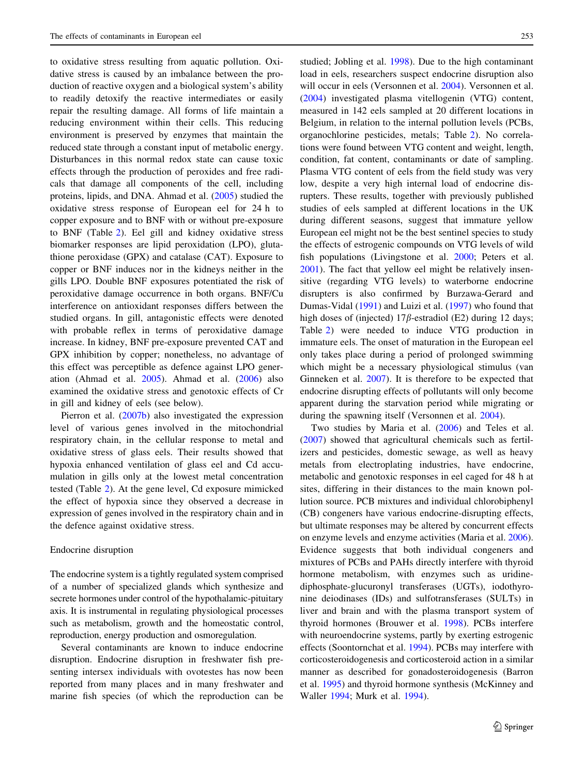to oxidative stress resulting from aquatic pollution. Oxidative stress is caused by an imbalance between the production of reactive oxygen and a biological system's ability to readily detoxify the reactive intermediates or easily repair the resulting damage. All forms of life maintain a reducing environment within their cells. This reducing environment is preserved by enzymes that maintain the reduced state through a constant input of metabolic energy. Disturbances in this normal redox state can cause toxic effects through the production of peroxides and free radicals that damage all components of the cell, including proteins, lipids, and DNA. Ahmad et al. ([2005\)](#page-20-0) studied the oxidative stress response of European eel for 24 h to copper exposure and to BNF with or without pre-exposure to BNF (Table [2](#page-7-0)). Eel gill and kidney oxidative stress biomarker responses are lipid peroxidation (LPO), glutathione peroxidase (GPX) and catalase (CAT). Exposure to copper or BNF induces nor in the kidneys neither in the gills LPO. Double BNF exposures potentiated the risk of peroxidative damage occurrence in both organs. BNF/Cu interference on antioxidant responses differs between the studied organs. In gill, antagonistic effects were denoted with probable reflex in terms of peroxidative damage increase. In kidney, BNF pre-exposure prevented CAT and GPX inhibition by copper; nonetheless, no advantage of this effect was perceptible as defence against LPO generation (Ahmad et al. [2005\)](#page-20-0). Ahmad et al. ([2006\)](#page-20-0) also examined the oxidative stress and genotoxic effects of Cr in gill and kidney of eels (see below).

Pierron et al. ([2007b\)](#page-25-0) also investigated the expression level of various genes involved in the mitochondrial respiratory chain, in the cellular response to metal and oxidative stress of glass eels. Their results showed that hypoxia enhanced ventilation of glass eel and Cd accumulation in gills only at the lowest metal concentration tested (Table [2\)](#page-7-0). At the gene level, Cd exposure mimicked the effect of hypoxia since they observed a decrease in expression of genes involved in the respiratory chain and in the defence against oxidative stress.

## Endocrine disruption

The endocrine system is a tightly regulated system comprised of a number of specialized glands which synthesize and secrete hormones under control of the hypothalamic-pituitary axis. It is instrumental in regulating physiological processes such as metabolism, growth and the homeostatic control, reproduction, energy production and osmoregulation.

Several contaminants are known to induce endocrine disruption. Endocrine disruption in freshwater fish presenting intersex individuals with ovotestes has now been reported from many places and in many freshwater and marine fish species (of which the reproduction can be studied; Jobling et al. [1998\)](#page-23-0). Due to the high contaminant load in eels, researchers suspect endocrine disruption also will occur in eels (Versonnen et al. [2004\)](#page-26-0). Versonnen et al. [\(2004](#page-26-0)) investigated plasma vitellogenin (VTG) content, measured in 142 eels sampled at 20 different locations in Belgium, in relation to the internal pollution levels (PCBs, organochlorine pesticides, metals; Table [2\)](#page-7-0). No correlations were found between VTG content and weight, length, condition, fat content, contaminants or date of sampling. Plasma VTG content of eels from the field study was very low, despite a very high internal load of endocrine disrupters. These results, together with previously published studies of eels sampled at different locations in the UK during different seasons, suggest that immature yellow European eel might not be the best sentinel species to study the effects of estrogenic compounds on VTG levels of wild fish populations (Livingstone et al. [2000](#page-24-0); Peters et al. [2001](#page-25-0)). The fact that yellow eel might be relatively insensitive (regarding VTG levels) to waterborne endocrine disrupters is also confirmed by Burzawa-Gerard and Dumas-Vidal ([1991\)](#page-21-0) and Luizi et al. ([1997\)](#page-24-0) who found that high doses of (injected)  $17\beta$ -estradiol (E2) during 12 days; Table [2](#page-7-0)) were needed to induce VTG production in immature eels. The onset of maturation in the European eel only takes place during a period of prolonged swimming which might be a necessary physiological stimulus (van Ginneken et al. [2007\)](#page-26-0). It is therefore to be expected that endocrine disrupting effects of pollutants will only become apparent during the starvation period while migrating or during the spawning itself (Versonnen et al. [2004\)](#page-26-0).

Two studies by Maria et al. ([2006\)](#page-24-0) and Teles et al. [\(2007](#page-26-0)) showed that agricultural chemicals such as fertilizers and pesticides, domestic sewage, as well as heavy metals from electroplating industries, have endocrine, metabolic and genotoxic responses in eel caged for 48 h at sites, differing in their distances to the main known pollution source. PCB mixtures and individual chlorobiphenyl (CB) congeners have various endocrine-disrupting effects, but ultimate responses may be altered by concurrent effects on enzyme levels and enzyme activities (Maria et al. [2006](#page-24-0)). Evidence suggests that both individual congeners and mixtures of PCBs and PAHs directly interfere with thyroid hormone metabolism, with enzymes such as uridinediphosphate-glucuronyl transferases (UGTs), iodothyronine deiodinases (IDs) and sulfotransferases (SULTs) in liver and brain and with the plasma transport system of thyroid hormones (Brouwer et al. [1998\)](#page-21-0). PCBs interfere with neuroendocrine systems, partly by exerting estrogenic effects (Soontornchat et al. [1994\)](#page-26-0). PCBs may interfere with corticosteroidogenesis and corticosteroid action in a similar manner as described for gonadosteroidogenesis (Barron et al. [1995\)](#page-21-0) and thyroid hormone synthesis (McKinney and Waller [1994;](#page-24-0) Murk et al. [1994](#page-24-0)).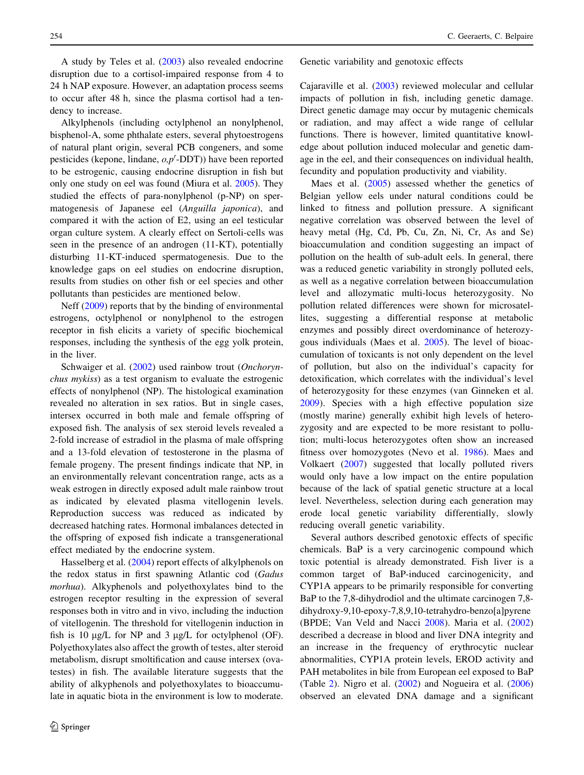A study by Teles et al. [\(2003](#page-26-0)) also revealed endocrine disruption due to a cortisol-impaired response from 4 to 24 h NAP exposure. However, an adaptation process seems to occur after 48 h, since the plasma cortisol had a tendency to increase.

Alkylphenols (including octylphenol an nonylphenol, bisphenol-A, some phthalate esters, several phytoestrogens of natural plant origin, several PCB congeners, and some pesticides (kepone, lindane,  $o, p'$ -DDT)) have been reported to be estrogenic, causing endocrine disruption in fish but only one study on eel was found (Miura et al. [2005\)](#page-24-0). They studied the effects of para-nonylphenol (p-NP) on spermatogenesis of Japanese eel (Anguilla japonica), and compared it with the action of E2, using an eel testicular organ culture system. A clearly effect on Sertoli-cells was seen in the presence of an androgen (11-KT), potentially disturbing 11-KT-induced spermatogenesis. Due to the knowledge gaps on eel studies on endocrine disruption, results from studies on other fish or eel species and other pollutants than pesticides are mentioned below.

Neff [\(2009](#page-24-0)) reports that by the binding of environmental estrogens, octylphenol or nonylphenol to the estrogen receptor in fish elicits a variety of specific biochemical responses, including the synthesis of the egg yolk protein, in the liver.

Schwaiger et al. [\(2002](#page-25-0)) used rainbow trout (Onchorynchus mykiss) as a test organism to evaluate the estrogenic effects of nonylphenol (NP). The histological examination revealed no alteration in sex ratios. But in single cases, intersex occurred in both male and female offspring of exposed fish. The analysis of sex steroid levels revealed a 2-fold increase of estradiol in the plasma of male offspring and a 13-fold elevation of testosterone in the plasma of female progeny. The present findings indicate that NP, in an environmentally relevant concentration range, acts as a weak estrogen in directly exposed adult male rainbow trout as indicated by elevated plasma vitellogenin levels. Reproduction success was reduced as indicated by decreased hatching rates. Hormonal imbalances detected in the offspring of exposed fish indicate a transgenerational effect mediated by the endocrine system.

Hasselberg et al. [\(2004](#page-23-0)) report effects of alkylphenols on the redox status in first spawning Atlantic cod (Gadus morhua). Alkyphenols and polyethoxylates bind to the estrogen receptor resulting in the expression of several responses both in vitro and in vivo, including the induction of vitellogenin. The threshold for vitellogenin induction in fish is 10  $\mu$ g/L for NP and 3  $\mu$ g/L for octylphenol (OF). Polyethoxylates also affect the growth of testes, alter steroid metabolism, disrupt smoltification and cause intersex (ovatestes) in fish. The available literature suggests that the ability of alkyphenols and polyethoxylates to bioaccumulate in aquatic biota in the environment is low to moderate. Genetic variability and genotoxic effects

Cajaraville et al. ([2003\)](#page-21-0) reviewed molecular and cellular impacts of pollution in fish, including genetic damage. Direct genetic damage may occur by mutagenic chemicals or radiation, and may affect a wide range of cellular functions. There is however, limited quantitative knowledge about pollution induced molecular and genetic damage in the eel, and their consequences on individual health, fecundity and population productivity and viability.

Maes et al. [\(2005](#page-24-0)) assessed whether the genetics of Belgian yellow eels under natural conditions could be linked to fitness and pollution pressure. A significant negative correlation was observed between the level of heavy metal (Hg, Cd, Pb, Cu, Zn, Ni, Cr, As and Se) bioaccumulation and condition suggesting an impact of pollution on the health of sub-adult eels. In general, there was a reduced genetic variability in strongly polluted eels, as well as a negative correlation between bioaccumulation level and allozymatic multi-locus heterozygosity. No pollution related differences were shown for microsatellites, suggesting a differential response at metabolic enzymes and possibly direct overdominance of heterozygous individuals (Maes et al. [2005\)](#page-24-0). The level of bioaccumulation of toxicants is not only dependent on the level of pollution, but also on the individual's capacity for detoxification, which correlates with the individual's level of heterozygosity for these enzymes (van Ginneken et al. [2009](#page-26-0)). Species with a high effective population size (mostly marine) generally exhibit high levels of heterozygosity and are expected to be more resistant to pollution; multi-locus heterozygotes often show an increased fitness over homozygotes (Nevo et al. [1986\)](#page-24-0). Maes and Volkaert [\(2007\)](#page-24-0) suggested that locally polluted rivers would only have a low impact on the entire population because of the lack of spatial genetic structure at a local level. Nevertheless, selection during each generation may erode local genetic variability differentially, slowly reducing overall genetic variability.

Several authors described genotoxic effects of specific chemicals. BaP is a very carcinogenic compound which toxic potential is already demonstrated. Fish liver is a common target of BaP-induced carcinogenicity, and CYP1A appears to be primarily responsible for converting BaP to the 7,8-dihydrodiol and the ultimate carcinogen 7,8 dihydroxy-9,10-epoxy-7,8,9,10-tetrahydro-benzo[a]pyrene (BPDE; Van Veld and Nacci [2008](#page-26-0)). Maria et al. ([2002\)](#page-24-0) described a decrease in blood and liver DNA integrity and an increase in the frequency of erythrocytic nuclear abnormalities, CYP1A protein levels, EROD activity and PAH metabolites in bile from European eel exposed to BaP (Table [2\)](#page-7-0). Nigro et al. ([2002\)](#page-24-0) and Nogueira et al. ([2006\)](#page-24-0) observed an elevated DNA damage and a significant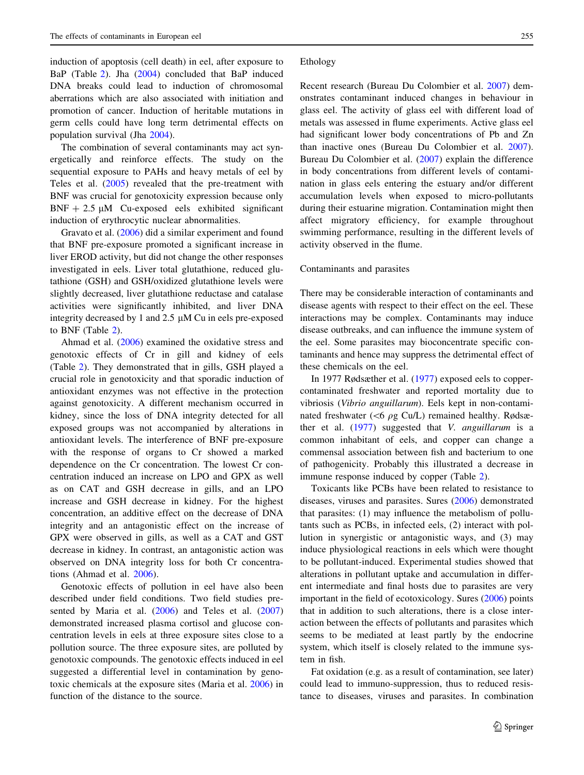induction of apoptosis (cell death) in eel, after exposure to BaP (Table [2](#page-7-0)). Jha [\(2004](#page-23-0)) concluded that BaP induced DNA breaks could lead to induction of chromosomal aberrations which are also associated with initiation and promotion of cancer. Induction of heritable mutations in germ cells could have long term detrimental effects on population survival (Jha [2004\)](#page-23-0).

The combination of several contaminants may act synergetically and reinforce effects. The study on the sequential exposure to PAHs and heavy metals of eel by Teles et al. ([2005\)](#page-26-0) revealed that the pre-treatment with BNF was crucial for genotoxicity expression because only  $BNF + 2.5 \mu M$  Cu-exposed eels exhibited significant induction of erythrocytic nuclear abnormalities.

Gravato et al. ([2006\)](#page-22-0) did a similar experiment and found that BNF pre-exposure promoted a significant increase in liver EROD activity, but did not change the other responses investigated in eels. Liver total glutathione, reduced glutathione (GSH) and GSH/oxidized glutathione levels were slightly decreased, liver glutathione reductase and catalase activities were significantly inhibited, and liver DNA integrity decreased by 1 and 2.5  $\mu$ M Cu in eels pre-exposed to BNF (Table [2](#page-7-0)).

Ahmad et al. ([2006\)](#page-20-0) examined the oxidative stress and genotoxic effects of Cr in gill and kidney of eels (Table [2](#page-7-0)). They demonstrated that in gills, GSH played a crucial role in genotoxicity and that sporadic induction of antioxidant enzymes was not effective in the protection against genotoxicity. A different mechanism occurred in kidney, since the loss of DNA integrity detected for all exposed groups was not accompanied by alterations in antioxidant levels. The interference of BNF pre-exposure with the response of organs to Cr showed a marked dependence on the Cr concentration. The lowest Cr concentration induced an increase on LPO and GPX as well as on CAT and GSH decrease in gills, and an LPO increase and GSH decrease in kidney. For the highest concentration, an additive effect on the decrease of DNA integrity and an antagonistic effect on the increase of GPX were observed in gills, as well as a CAT and GST decrease in kidney. In contrast, an antagonistic action was observed on DNA integrity loss for both Cr concentrations (Ahmad et al. [2006](#page-20-0)).

Genotoxic effects of pollution in eel have also been described under field conditions. Two field studies pre-sented by Maria et al. [\(2006](#page-24-0)) and Teles et al. ([2007\)](#page-26-0) demonstrated increased plasma cortisol and glucose concentration levels in eels at three exposure sites close to a pollution source. The three exposure sites, are polluted by genotoxic compounds. The genotoxic effects induced in eel suggested a differential level in contamination by genotoxic chemicals at the exposure sites (Maria et al. [2006](#page-24-0)) in function of the distance to the source.

#### Ethology

Recent research (Bureau Du Colombier et al. [2007\)](#page-21-0) demonstrates contaminant induced changes in behaviour in glass eel. The activity of glass eel with different load of metals was assessed in flume experiments. Active glass eel had significant lower body concentrations of Pb and Zn than inactive ones (Bureau Du Colombier et al. [2007](#page-21-0)). Bureau Du Colombier et al. ([2007\)](#page-21-0) explain the difference in body concentrations from different levels of contamination in glass eels entering the estuary and/or different accumulation levels when exposed to micro-pollutants during their estuarine migration. Contamination might then affect migratory efficiency, for example throughout swimming performance, resulting in the different levels of activity observed in the flume.

#### Contaminants and parasites

There may be considerable interaction of contaminants and disease agents with respect to their effect on the eel. These interactions may be complex. Contaminants may induce disease outbreaks, and can influence the immune system of the eel. Some parasites may bioconcentrate specific contaminants and hence may suppress the detrimental effect of these chemicals on the eel.

In 1977 Rødsæther et al. ([1977\)](#page-25-0) exposed eels to coppercontaminated freshwater and reported mortality due to vibriosis (Vibrio anguillarum). Eels kept in non-contaminated freshwater ( $\leq 6$   $\rho$ g Cu/L) remained healthy. Rødsæther et al.  $(1977)$  $(1977)$  $(1977)$  suggested that *V. anguillarum* is a common inhabitant of eels, and copper can change a commensal association between fish and bacterium to one of pathogenicity. Probably this illustrated a decrease in immune response induced by copper (Table [2\)](#page-7-0).

Toxicants like PCBs have been related to resistance to diseases, viruses and parasites. Sures ([2006\)](#page-26-0) demonstrated that parasites: (1) may influence the metabolism of pollutants such as PCBs, in infected eels, (2) interact with pollution in synergistic or antagonistic ways, and (3) may induce physiological reactions in eels which were thought to be pollutant-induced. Experimental studies showed that alterations in pollutant uptake and accumulation in different intermediate and final hosts due to parasites are very important in the field of ecotoxicology. Sures ([2006\)](#page-26-0) points that in addition to such alterations, there is a close interaction between the effects of pollutants and parasites which seems to be mediated at least partly by the endocrine system, which itself is closely related to the immune system in fish.

Fat oxidation (e.g. as a result of contamination, see later) could lead to immuno-suppression, thus to reduced resistance to diseases, viruses and parasites. In combination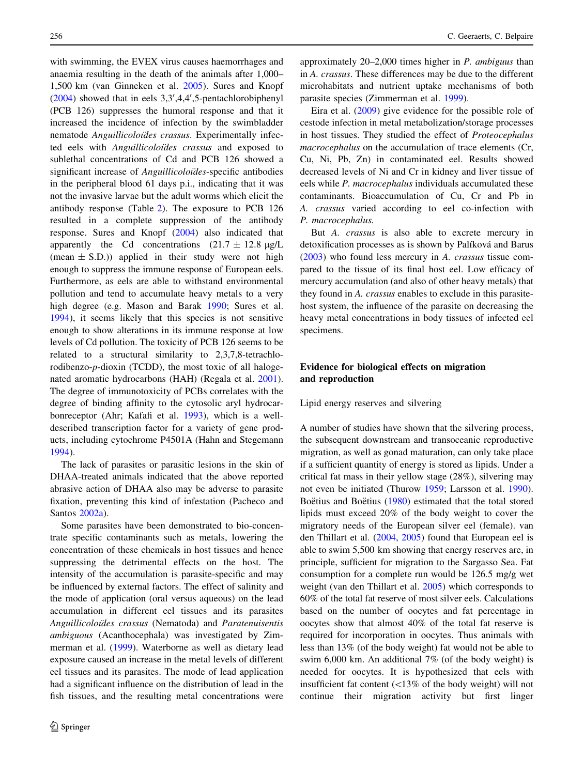with swimming, the EVEX virus causes haemorrhages and anaemia resulting in the death of the animals after 1,000– 1,500 km (van Ginneken et al. [2005\)](#page-26-0). Sures and Knopf  $(2004)$  $(2004)$  showed that in eels  $3,3',4,4',5$ -pentachlorobiphenyl (PCB 126) suppresses the humoral response and that it increased the incidence of infection by the swimbladder nematode Anguillicoloïdes crassus. Experimentally infected eels with Anguillicoloïdes crassus and exposed to sublethal concentrations of Cd and PCB 126 showed a significant increase of Anguillicoloides-specific antibodies in the peripheral blood 61 days p.i., indicating that it was not the invasive larvae but the adult worms which elicit the antibody response (Table [2](#page-7-0)). The exposure to PCB 126 resulted in a complete suppression of the antibody response. Sures and Knopf [\(2004\)](#page-26-0) also indicated that apparently the Cd concentrations  $(21.7 \pm 12.8 \,\mu g/L)$ (mean  $\pm$  S.D.)) applied in their study were not high enough to suppress the immune response of European eels. Furthermore, as eels are able to withstand environmental pollution and tend to accumulate heavy metals to a very high degree (e.g. Mason and Barak [1990](#page-24-0); Sures et al. [1994\)](#page-26-0), it seems likely that this species is not sensitive enough to show alterations in its immune response at low levels of Cd pollution. The toxicity of PCB 126 seems to be related to a structural similarity to 2,3,7,8-tetrachlorodibenzo-p-dioxin (TCDD), the most toxic of all halogenated aromatic hydrocarbons (HAH) (Regala et al. [2001](#page-25-0)). The degree of immunotoxicity of PCBs correlates with the degree of binding affinity to the cytosolic aryl hydrocarbonreceptor (Ahr; Kafafi et al. [1993](#page-23-0)), which is a welldescribed transcription factor for a variety of gene products, including cytochrome P4501A (Hahn and Stegemann [1994\)](#page-23-0).

The lack of parasites or parasitic lesions in the skin of DHAA-treated animals indicated that the above reported abrasive action of DHAA also may be adverse to parasite fixation, preventing this kind of infestation (Pacheco and Santos [2002a](#page-25-0)).

Some parasites have been demonstrated to bio-concentrate specific contaminants such as metals, lowering the concentration of these chemicals in host tissues and hence suppressing the detrimental effects on the host. The intensity of the accumulation is parasite-specific and may be influenced by external factors. The effect of salinity and the mode of application (oral versus aqueous) on the lead accumulation in different eel tissues and its parasites Anguillicoloïdes crassus (Nematoda) and Paratenuisentis ambiguous (Acanthocephala) was investigated by Zimmerman et al. [\(1999](#page-27-0)). Waterborne as well as dietary lead exposure caused an increase in the metal levels of different eel tissues and its parasites. The mode of lead application had a significant influence on the distribution of lead in the fish tissues, and the resulting metal concentrations were approximately 20–2,000 times higher in P. ambiguus than in A. crassus. These differences may be due to the different microhabitats and nutrient uptake mechanisms of both parasite species (Zimmerman et al. [1999\)](#page-27-0).

Eira et al. [\(2009](#page-22-0)) give evidence for the possible role of cestode infection in metal metabolization/storage processes in host tissues. They studied the effect of Proteocephalus macrocephalus on the accumulation of trace elements (Cr, Cu, Ni, Pb, Zn) in contaminated eel. Results showed decreased levels of Ni and Cr in kidney and liver tissue of eels while P. macrocephalus individuals accumulated these contaminants. Bioaccumulation of Cu, Cr and Pb in A. crassus varied according to eel co-infection with P. macrocephalus.

But A. crassus is also able to excrete mercury in detoxification processes as is shown by Palíková and Barus [\(2003](#page-25-0)) who found less mercury in A. crassus tissue compared to the tissue of its final host eel. Low efficacy of mercury accumulation (and also of other heavy metals) that they found in A. crassus enables to exclude in this parasitehost system, the influence of the parasite on decreasing the heavy metal concentrations in body tissues of infected eel specimens.

# Evidence for biological effects on migration and reproduction

Lipid energy reserves and silvering

A number of studies have shown that the silvering process, the subsequent downstream and transoceanic reproductive migration, as well as gonad maturation, can only take place if a sufficient quantity of energy is stored as lipids. Under a critical fat mass in their yellow stage (28%), silvering may not even be initiated (Thurow [1959;](#page-26-0) Larsson et al. [1990](#page-24-0)). Boëtius and Boëtius [\(1980](#page-21-0)) estimated that the total stored lipids must exceed 20% of the body weight to cover the migratory needs of the European silver eel (female). van den Thillart et al. [\(2004,](#page-26-0) [2005\)](#page-26-0) found that European eel is able to swim 5,500 km showing that energy reserves are, in principle, sufficient for migration to the Sargasso Sea. Fat consumption for a complete run would be 126.5 mg/g wet weight (van den Thillart et al. [2005](#page-26-0)) which corresponds to 60% of the total fat reserve of most silver eels. Calculations based on the number of oocytes and fat percentage in oocytes show that almost 40% of the total fat reserve is required for incorporation in oocytes. Thus animals with less than 13% (of the body weight) fat would not be able to swim 6,000 km. An additional 7% (of the body weight) is needed for oocytes. It is hypothesized that eels with insufficient fat content  $\left($  <13% of the body weight) will not continue their migration activity but first linger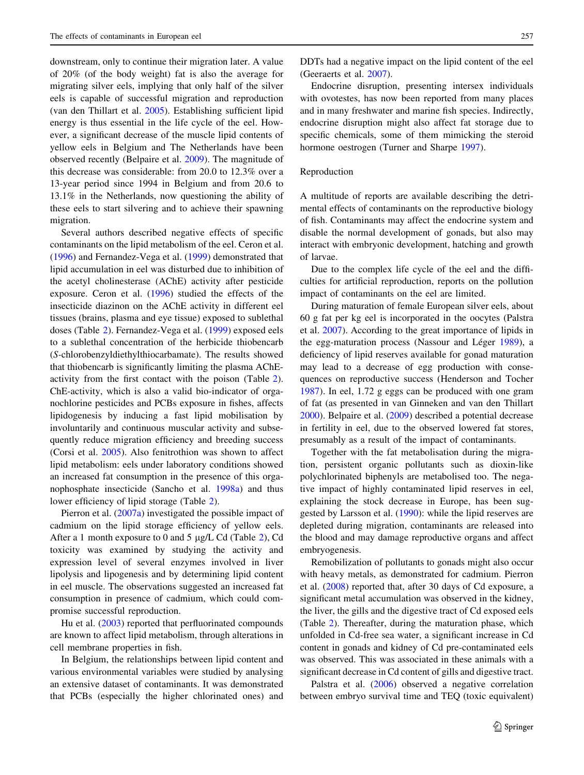downstream, only to continue their migration later. A value of 20% (of the body weight) fat is also the average for migrating silver eels, implying that only half of the silver eels is capable of successful migration and reproduction (van den Thillart et al. [2005\)](#page-26-0). Establishing sufficient lipid energy is thus essential in the life cycle of the eel. However, a significant decrease of the muscle lipid contents of yellow eels in Belgium and The Netherlands have been observed recently (Belpaire et al. [2009](#page-21-0)). The magnitude of this decrease was considerable: from 20.0 to 12.3% over a 13-year period since 1994 in Belgium and from 20.6 to 13.1% in the Netherlands, now questioning the ability of these eels to start silvering and to achieve their spawning migration.

Several authors described negative effects of specific contaminants on the lipid metabolism of the eel. Ceron et al. [\(1996](#page-21-0)) and Fernandez-Vega et al. ([1999\)](#page-22-0) demonstrated that lipid accumulation in eel was disturbed due to inhibition of the acetyl cholinesterase (AChE) activity after pesticide exposure. Ceron et al. ([1996](#page-21-0)) studied the effects of the insecticide diazinon on the AChE activity in different eel tissues (brains, plasma and eye tissue) exposed to sublethal doses (Table [2](#page-7-0)). Fernandez-Vega et al. [\(1999](#page-22-0)) exposed eels to a sublethal concentration of the herbicide thiobencarb (S-chlorobenzyldiethylthiocarbamate). The results showed that thiobencarb is significantly limiting the plasma AChEactivity from the first contact with the poison (Table [2](#page-7-0)). ChE-activity, which is also a valid bio-indicator of organochlorine pesticides and PCBs exposure in fishes, affects lipidogenesis by inducing a fast lipid mobilisation by involuntarily and continuous muscular activity and subsequently reduce migration efficiency and breeding success (Corsi et al. [2005\)](#page-22-0). Also fenitrothion was shown to affect lipid metabolism: eels under laboratory conditions showed an increased fat consumption in the presence of this organophosphate insecticide (Sancho et al. [1998a](#page-25-0)) and thus lower efficiency of lipid storage (Table [2](#page-7-0)).

Pierron et al. ([2007a](#page-25-0)) investigated the possible impact of cadmium on the lipid storage efficiency of yellow eels. After a 1 month exposure to 0 and 5  $\mu$ g/L Cd (Table [2](#page-7-0)), Cd toxicity was examined by studying the activity and expression level of several enzymes involved in liver lipolysis and lipogenesis and by determining lipid content in eel muscle. The observations suggested an increased fat consumption in presence of cadmium, which could compromise successful reproduction.

Hu et al. ([2003\)](#page-23-0) reported that perfluorinated compounds are known to affect lipid metabolism, through alterations in cell membrane properties in fish.

In Belgium, the relationships between lipid content and various environmental variables were studied by analysing an extensive dataset of contaminants. It was demonstrated that PCBs (especially the higher chlorinated ones) and DDTs had a negative impact on the lipid content of the eel (Geeraerts et al. [2007\)](#page-22-0).

Endocrine disruption, presenting intersex individuals with ovotestes, has now been reported from many places and in many freshwater and marine fish species. Indirectly, endocrine disruption might also affect fat storage due to specific chemicals, some of them mimicking the steroid hormone oestrogen (Turner and Sharpe [1997\)](#page-26-0).

#### Reproduction

A multitude of reports are available describing the detrimental effects of contaminants on the reproductive biology of fish. Contaminants may affect the endocrine system and disable the normal development of gonads, but also may interact with embryonic development, hatching and growth of larvae.

Due to the complex life cycle of the eel and the difficulties for artificial reproduction, reports on the pollution impact of contaminants on the eel are limited.

During maturation of female European silver eels, about 60 g fat per kg eel is incorporated in the oocytes (Palstra et al. [2007](#page-25-0)). According to the great importance of lipids in the egg-maturation process (Nassour and Léger [1989\)](#page-24-0), a deficiency of lipid reserves available for gonad maturation may lead to a decrease of egg production with consequences on reproductive success (Henderson and Tocher [1987](#page-23-0)). In eel, 1.72 g eggs can be produced with one gram of fat (as presented in van Ginneken and van den Thillart [2000](#page-26-0)). Belpaire et al. [\(2009](#page-21-0)) described a potential decrease in fertility in eel, due to the observed lowered fat stores, presumably as a result of the impact of contaminants.

Together with the fat metabolisation during the migration, persistent organic pollutants such as dioxin-like polychlorinated biphenyls are metabolised too. The negative impact of highly contaminated lipid reserves in eel, explaining the stock decrease in Europe, has been suggested by Larsson et al. ([1990\)](#page-24-0): while the lipid reserves are depleted during migration, contaminants are released into the blood and may damage reproductive organs and affect embryogenesis.

Remobilization of pollutants to gonads might also occur with heavy metals, as demonstrated for cadmium. Pierron et al. ([2008\)](#page-25-0) reported that, after 30 days of Cd exposure, a significant metal accumulation was observed in the kidney, the liver, the gills and the digestive tract of Cd exposed eels (Table [2\)](#page-7-0). Thereafter, during the maturation phase, which unfolded in Cd-free sea water, a significant increase in Cd content in gonads and kidney of Cd pre-contaminated eels was observed. This was associated in these animals with a significant decrease in Cd content of gills and digestive tract.

Palstra et al. [\(2006](#page-25-0)) observed a negative correlation between embryo survival time and TEQ (toxic equivalent)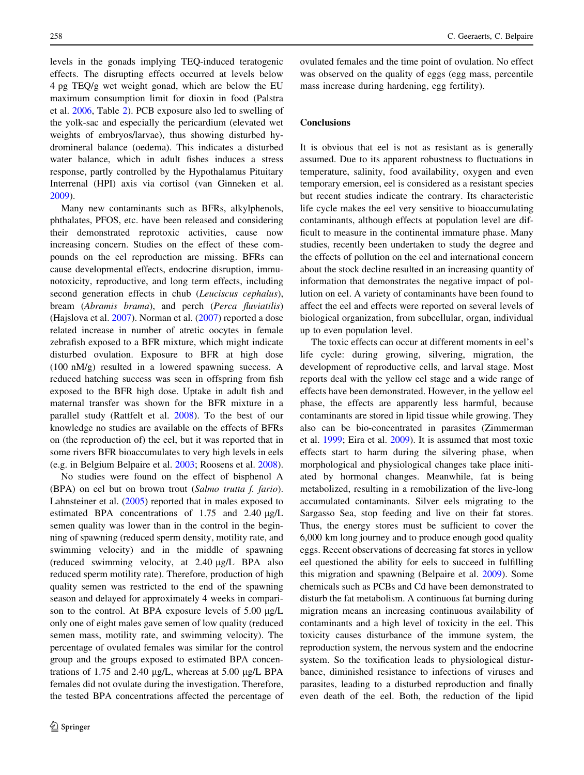levels in the gonads implying TEQ-induced teratogenic effects. The disrupting effects occurred at levels below 4 pg TEQ/g wet weight gonad, which are below the EU maximum consumption limit for dioxin in food (Palstra et al. [2006,](#page-25-0) Table [2](#page-7-0)). PCB exposure also led to swelling of the yolk-sac and especially the pericardium (elevated wet weights of embryos/larvae), thus showing disturbed hydromineral balance (oedema). This indicates a disturbed water balance, which in adult fishes induces a stress response, partly controlled by the Hypothalamus Pituitary Interrenal (HPI) axis via cortisol (van Ginneken et al. [2009\)](#page-26-0).

Many new contaminants such as BFRs, alkylphenols, phthalates, PFOS, etc. have been released and considering their demonstrated reprotoxic activities, cause now increasing concern. Studies on the effect of these compounds on the eel reproduction are missing. BFRs can cause developmental effects, endocrine disruption, immunotoxicity, reproductive, and long term effects, including second generation effects in chub (Leuciscus cephalus), bream (Abramis brama), and perch (Perca fluviatilis) (Hajslova et al. [2007](#page-23-0)). Norman et al. ([2007\)](#page-24-0) reported a dose related increase in number of atretic oocytes in female zebrafish exposed to a BFR mixture, which might indicate disturbed ovulation. Exposure to BFR at high dose (100 nM/g) resulted in a lowered spawning success. A reduced hatching success was seen in offspring from fish exposed to the BFR high dose. Uptake in adult fish and maternal transfer was shown for the BFR mixture in a parallel study (Rattfelt et al. [2008\)](#page-25-0). To the best of our knowledge no studies are available on the effects of BFRs on (the reproduction of) the eel, but it was reported that in some rivers BFR bioaccumulates to very high levels in eels (e.g. in Belgium Belpaire et al. [2003;](#page-21-0) Roosens et al. [2008](#page-25-0)).

No studies were found on the effect of bisphenol A (BPA) on eel but on brown trout (Salmo trutta f. fario). Lahnsteiner et al. ([2005\)](#page-24-0) reported that in males exposed to estimated BPA concentrations of  $1.75$  and  $2.40 \mu g/L$ semen quality was lower than in the control in the beginning of spawning (reduced sperm density, motility rate, and swimming velocity) and in the middle of spawning (reduced swimming velocity, at  $2.40 \mu g/L$  BPA also reduced sperm motility rate). Therefore, production of high quality semen was restricted to the end of the spawning season and delayed for approximately 4 weeks in comparison to the control. At BPA exposure levels of  $5.00 \mu g/L$ only one of eight males gave semen of low quality (reduced semen mass, motility rate, and swimming velocity). The percentage of ovulated females was similar for the control group and the groups exposed to estimated BPA concentrations of 1.75 and 2.40  $\mu$ g/L, whereas at 5.00  $\mu$ g/L BPA females did not ovulate during the investigation. Therefore, the tested BPA concentrations affected the percentage of ovulated females and the time point of ovulation. No effect was observed on the quality of eggs (egg mass, percentile mass increase during hardening, egg fertility).

# Conclusions

It is obvious that eel is not as resistant as is generally assumed. Due to its apparent robustness to fluctuations in temperature, salinity, food availability, oxygen and even temporary emersion, eel is considered as a resistant species but recent studies indicate the contrary. Its characteristic life cycle makes the eel very sensitive to bioaccumulating contaminants, although effects at population level are difficult to measure in the continental immature phase. Many studies, recently been undertaken to study the degree and the effects of pollution on the eel and international concern about the stock decline resulted in an increasing quantity of information that demonstrates the negative impact of pollution on eel. A variety of contaminants have been found to affect the eel and effects were reported on several levels of biological organization, from subcellular, organ, individual up to even population level.

The toxic effects can occur at different moments in eel's life cycle: during growing, silvering, migration, the development of reproductive cells, and larval stage. Most reports deal with the yellow eel stage and a wide range of effects have been demonstrated. However, in the yellow eel phase, the effects are apparently less harmful, because contaminants are stored in lipid tissue while growing. They also can be bio-concentrated in parasites (Zimmerman et al. [1999](#page-27-0); Eira et al. [2009](#page-22-0)). It is assumed that most toxic effects start to harm during the silvering phase, when morphological and physiological changes take place initiated by hormonal changes. Meanwhile, fat is being metabolized, resulting in a remobilization of the live-long accumulated contaminants. Silver eels migrating to the Sargasso Sea, stop feeding and live on their fat stores. Thus, the energy stores must be sufficient to cover the 6,000 km long journey and to produce enough good quality eggs. Recent observations of decreasing fat stores in yellow eel questioned the ability for eels to succeed in fulfilling this migration and spawning (Belpaire et al. [2009](#page-21-0)). Some chemicals such as PCBs and Cd have been demonstrated to disturb the fat metabolism. A continuous fat burning during migration means an increasing continuous availability of contaminants and a high level of toxicity in the eel. This toxicity causes disturbance of the immune system, the reproduction system, the nervous system and the endocrine system. So the toxification leads to physiological disturbance, diminished resistance to infections of viruses and parasites, leading to a disturbed reproduction and finally even death of the eel. Both, the reduction of the lipid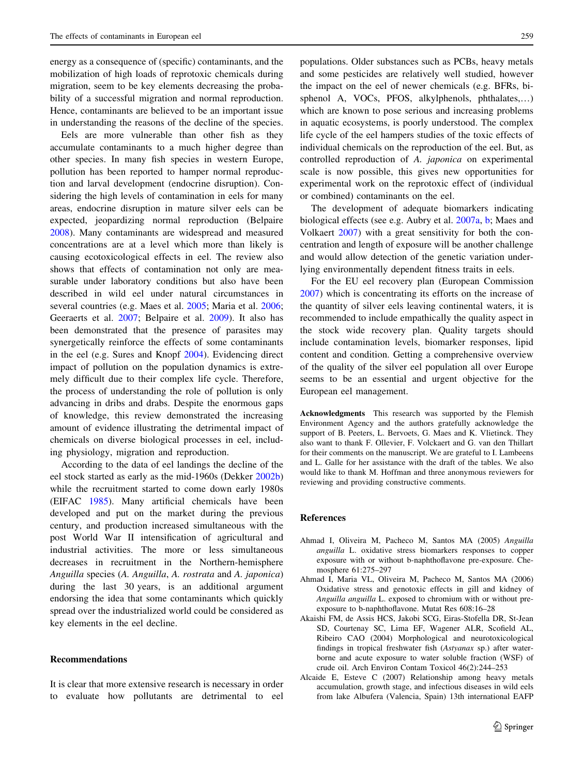<span id="page-20-0"></span>energy as a consequence of (specific) contaminants, and the mobilization of high loads of reprotoxic chemicals during migration, seem to be key elements decreasing the probability of a successful migration and normal reproduction. Hence, contaminants are believed to be an important issue in understanding the reasons of the decline of the species.

Eels are more vulnerable than other fish as they accumulate contaminants to a much higher degree than other species. In many fish species in western Europe, pollution has been reported to hamper normal reproduction and larval development (endocrine disruption). Considering the high levels of contamination in eels for many areas, endocrine disruption in mature silver eels can be expected, jeopardizing normal reproduction (Belpaire [2008\)](#page-21-0). Many contaminants are widespread and measured concentrations are at a level which more than likely is causing ecotoxicological effects in eel. The review also shows that effects of contamination not only are measurable under laboratory conditions but also have been described in wild eel under natural circumstances in several countries (e.g. Maes et al. [2005;](#page-24-0) Maria et al. [2006](#page-24-0); Geeraerts et al. [2007;](#page-22-0) Belpaire et al. [2009\)](#page-21-0). It also has been demonstrated that the presence of parasites may synergetically reinforce the effects of some contaminants in the eel (e.g. Sures and Knopf [2004\)](#page-26-0). Evidencing direct impact of pollution on the population dynamics is extremely difficult due to their complex life cycle. Therefore, the process of understanding the role of pollution is only advancing in dribs and drabs. Despite the enormous gaps of knowledge, this review demonstrated the increasing amount of evidence illustrating the detrimental impact of chemicals on diverse biological processes in eel, including physiology, migration and reproduction.

According to the data of eel landings the decline of the eel stock started as early as the mid-1960s (Dekker [2002b\)](#page-22-0) while the recruitment started to come down early 1980s (EIFAC [1985\)](#page-22-0). Many artificial chemicals have been developed and put on the market during the previous century, and production increased simultaneous with the post World War II intensification of agricultural and industrial activities. The more or less simultaneous decreases in recruitment in the Northern-hemisphere Anguilla species (A. Anguilla, A. rostrata and A. japonica) during the last 30 years, is an additional argument endorsing the idea that some contaminants which quickly spread over the industrialized world could be considered as key elements in the eel decline.

## Recommendations

It is clear that more extensive research is necessary in order to evaluate how pollutants are detrimental to eel populations. Older substances such as PCBs, heavy metals and some pesticides are relatively well studied, however the impact on the eel of newer chemicals (e.g. BFRs, bisphenol A, VOCs, PFOS, alkylphenols, phthalates,…) which are known to pose serious and increasing problems in aquatic ecosystems, is poorly understood. The complex life cycle of the eel hampers studies of the toxic effects of individual chemicals on the reproduction of the eel. But, as controlled reproduction of A. japonica on experimental scale is now possible, this gives new opportunities for experimental work on the reprotoxic effect of (individual or combined) contaminants on the eel.

The development of adequate biomarkers indicating biological effects (see e.g. Aubry et al. [2007a,](#page-21-0) [b;](#page-21-0) Maes and Volkaert [2007](#page-24-0)) with a great sensitivity for both the concentration and length of exposure will be another challenge and would allow detection of the genetic variation underlying environmentally dependent fitness traits in eels.

For the EU eel recovery plan (European Commission [2007](#page-22-0)) which is concentrating its efforts on the increase of the quantity of silver eels leaving continental waters, it is recommended to include empathically the quality aspect in the stock wide recovery plan. Quality targets should include contamination levels, biomarker responses, lipid content and condition. Getting a comprehensive overview of the quality of the silver eel population all over Europe seems to be an essential and urgent objective for the European eel management.

Acknowledgments This research was supported by the Flemish Environment Agency and the authors gratefully acknowledge the support of B. Peeters, L. Bervoets, G. Maes and K. Vlietinck. They also want to thank F. Ollevier, F. Volckaert and G. van den Thillart for their comments on the manuscript. We are grateful to I. Lambeens and L. Galle for her assistance with the draft of the tables. We also would like to thank M. Hoffman and three anonymous reviewers for reviewing and providing constructive comments.

#### References

- Ahmad I, Oliveira M, Pacheco M, Santos MA (2005) Anguilla anguilla L. oxidative stress biomarkers responses to copper exposure with or without b-naphthoflavone pre-exposure. Chemosphere 61:275–297
- Ahmad I, Maria VL, Oliveira M, Pacheco M, Santos MA (2006) Oxidative stress and genotoxic effects in gill and kidney of Anguilla anguilla L. exposed to chromium with or without preexposure to b-naphthoflavone. Mutat Res 608:16–28
- Akaishi FM, de Assis HCS, Jakobi SCG, Eiras-Stofella DR, St-Jean SD, Courtenay SC, Lima EF, Wagener ALR, Scofield AL, Ribeiro CAO (2004) Morphological and neurotoxicological findings in tropical freshwater fish (Astyanax sp.) after waterborne and acute exposure to water soluble fraction (WSF) of crude oil. Arch Environ Contam Toxicol 46(2):244–253
- Alcaide E, Esteve C (2007) Relationship among heavy metals accumulation, growth stage, and infectious diseases in wild eels from lake Albufera (Valencia, Spain) 13th international EAFP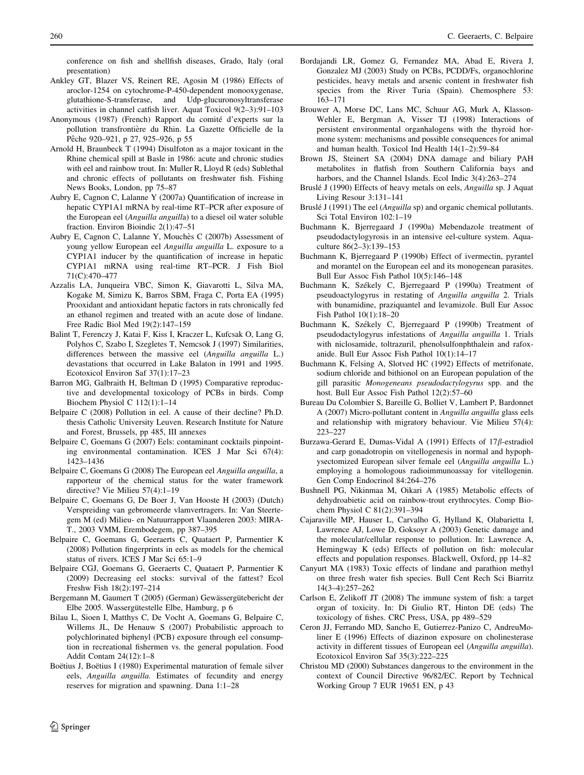<span id="page-21-0"></span>conference on fish and shellfish diseases, Grado, Italy (oral presentation)

- Ankley GT, Blazer VS, Reinert RE, Agosin M (1986) Effects of aroclor-1254 on cytochrome-P-450-dependent monooxygenase, glutathione-S-transferase, and Udp-glucuronosyltransferase activities in channel catfish liver. Aquat Toxicol 9(2–3):91–103
- Anonymous (1987) (French) Rapport du comité d'experts sur la pollution transfrontière du Rhin. La Gazette Officielle de la Pêche 920-921, p 27, 925-926, p 55
- Arnold H, Braunbeck T (1994) Disulfoton as a major toxicant in the Rhine chemical spill at Basle in 1986: acute and chronic studies with eel and rainbow trout. In: Muller R, Lloyd R (eds) Sublethal and chronic effects of pollutants on freshwater fish. Fishing News Books, London, pp 75–87
- Aubry E, Cagnon C, Lalanne Y (2007a) Quantification of increase in hepatic CYP1A1 mRNA by real-time RT–PCR after exposure of the European eel (Anguilla anguilla) to a diesel oil water soluble fraction. Environ Bioindic 2(1):47–51
- Aubry E, Cagnon C, Lalanne Y, Mouchès C (2007b) Assessment of young yellow European eel Anguilla anguilla L. exposure to a CYP1A1 inducer by the quantification of increase in hepatic CYP1A1 mRNA using real-time RT–PCR. J Fish Biol 71(C):470–477
- Azzalis LA, Junqueira VBC, Simon K, Giavarotti L, Silva MA, Kogake M, Simizu K, Barros SBM, Fraga C, Porta EA (1995) Prooxidant and antioxidant hepatic factors in rats chronically fed an ethanol regimen and treated with an acute dose of lindane. Free Radic Biol Med 19(2):147–159
- Balint T, Ferenczy J, Katai F, Kiss I, Kraczer L, Kufcsak O, Lang G, Polyhos C, Szabo I, Szegletes T, Nemcsok J (1997) Similarities, differences between the massive eel (Anguilla anguilla L.) devastations that occurred in Lake Balaton in 1991 and 1995. Ecotoxicol Environ Saf 37(1):17–23
- Barron MG, Galbraith H, Beltman D (1995) Comparative reproductive and developmental toxicology of PCBs in birds. Comp Biochem Physiol C 112(1):1–14
- Belpaire C (2008) Pollution in eel. A cause of their decline? Ph.D. thesis Catholic University Leuven. Research Institute for Nature and Forest, Brussels, pp 485, III annexes
- Belpaire C, Goemans G (2007) Eels: contaminant cocktails pinpointing environmental contamination. ICES J Mar Sci 67(4): 1423–1436
- Belpaire C, Goemans G (2008) The European eel Anguilla anguilla, a rapporteur of the chemical status for the water framework directive? Vie Milieu 57(4):1–19
- Belpaire C, Goemans G, De Boer J, Van Hooste H (2003) (Dutch) Verspreiding van gebromeerde vlamvertragers. In: Van Steertegem M (ed) Milieu- en Natuurrapport Vlaanderen 2003: MIRA-T., 2003 VMM, Erembodegem, pp 387–395
- Belpaire C, Goemans G, Geeraerts C, Quataert P, Parmentier K (2008) Pollution fingerprints in eels as models for the chemical status of rivers. ICES J Mar Sci 65:1–9
- Belpaire CGJ, Goemans G, Geeraerts C, Quataert P, Parmentier K (2009) Decreasing eel stocks: survival of the fattest? Ecol Freshw Fish 18(2):197–214
- Bergemann M, Gaumert T (2005) (German) Gewässergütebericht der Elbe 2005. Wassergütestelle Elbe, Hamburg, p 6
- Bilau L, Sioen I, Matthys C, De Vocht A, Goemans G, Belpaire C, Willems JL, De Henauw S (2007) Probabilistic approach to polychlorinated biphenyl (PCB) exposure through eel consumption in recreational fishermen vs. the general population. Food Addit Contam 24(12):1–8
- Boëtius J, Boëtius I (1980) Experimental maturation of female silver eels, Anguilla anguilla. Estimates of fecundity and energy reserves for migration and spawning. Dana 1:1–28
- Bordajandi LR, Gomez G, Fernandez MA, Abad E, Rivera J, Gonzalez MJ (2003) Study on PCBs, PCDD/Fs, organochlorine pesticides, heavy metals and arsenic content in freshwater fish species from the River Turia (Spain). Chemosphere 53: 163–171
- Brouwer A, Morse DC, Lans MC, Schuur AG, Murk A, Klasson-Wehler E, Bergman A, Visser TJ (1998) Interactions of persistent environmental organhalogens with the thyroid hormone system: mechanisms and possible consequences for animal and human health. Toxicol Ind Health 14(1–2):59–84
- Brown JS, Steinert SA (2004) DNA damage and biliary PAH metabolites in flatfish from Southern California bays and harbors, and the Channel Islands. Ecol Indic 3(4):263–274
- Bruslé J (1990) Effects of heavy metals on eels, Anguilla sp. J Aquat Living Resour 3:131–141
- Bruslé J (1991) The eel (Anguilla sp) and organic chemical pollutants. Sci Total Environ 102:1–19
- Buchmann K, Bjerregaard J (1990a) Mebendazole treatment of pseudodactylogyrosis in an intensive eel-culture system. Aquaculture 86(2–3):139–153
- Buchmann K, Bjerregaard P (1990b) Effect of ivermectin, pyrantel and morantel on the European eel and its monogenean parasites. Bull Eur Assoc Fish Pathol 10(5):146–148
- Buchmann K, Székely C, Bjerregaard P (1990a) Treatment of pseudoactylogyrus in restating of Anguilla anguilla 2. Trials with bunamidine, praziquantel and levamizole. Bull Eur Assoc Fish Pathol 10(1):18–20
- Buchmann K, Székely C, Bjerregaard P (1990b) Treatment of pseudodactylogyrus infestations of Anguilla anguilla 1. Trials with niclosamide, toltrazuril, phenolsulfonphthalein and rafoxanide. Bull Eur Assoc Fish Pathol 10(1):14–17
- Buchmann K, Felsing A, Slotved HC (1992) Effects of metrifonate, sodium chloride and bithionol on an European population of the gill parasitic Monogeneans pseudodactylogyrus spp. and the host. Bull Eur Assoc Fish Pathol 12(2):57–60
- Bureau Du Colombier S, Bareille G, Bolliet V, Lambert P, Bardonnet A (2007) Micro-pollutant content in Anguilla anguilla glass eels and relationship with migratory behaviour. Vie Milieu 57(4): 223–227
- Burzawa-Gerard E, Dumas-Vidal A (1991) Effects of  $17\beta$ -estradiol and carp gonadotropin on vitellogenesis in normal and hypophysectomized European silver female eel (Anguilla anguilla L.) employing a homologous radioimmunoassay for vitellogenin. Gen Comp Endocrinol 84:264–276
- Bushnell PG, Nikinmaa M, Oikari A (1985) Metabolic effects of dehydroabietic acid on rainbow-trout erythrocytes. Comp Biochem Physiol C 81(2):391–394
- Cajaraville MP, Hauser L, Carvalho G, Hylland K, Olabarietta I, Lawrence AJ, Lowe D, Goksoyr A (2003) Genetic damage and the molecular/cellular response to pollution. In: Lawrence A, Hemingway K (eds) Effects of pollution on fish: molecular effects and population responses. Blackwell, Oxford, pp 14–82
- Canyurt MA (1983) Toxic effects of lindane and parathion methyl on three fresh water fish species. Bull Cent Rech Sci Biarritz 14(3–4):257–262
- Carlson E, Zelikoff JT (2008) The immune system of fish: a target organ of toxicity. In: Di Giulio RT, Hinton DE (eds) The toxicology of fishes. CRC Press, USA, pp 489–529
- Ceron JJ, Ferrando MD, Sancho E, Gutierrez-Panizo C, AndreuMoliner E (1996) Effects of diazinon exposure on cholinesterase activity in different tissues of European eel (Anguilla anguilla). Ecotoxicol Environ Saf 35(3):222–225
- Christou MD (2000) Substances dangerous to the environment in the context of Council Directive 96/82/EC. Report by Technical Working Group 7 EUR 19651 EN, p 43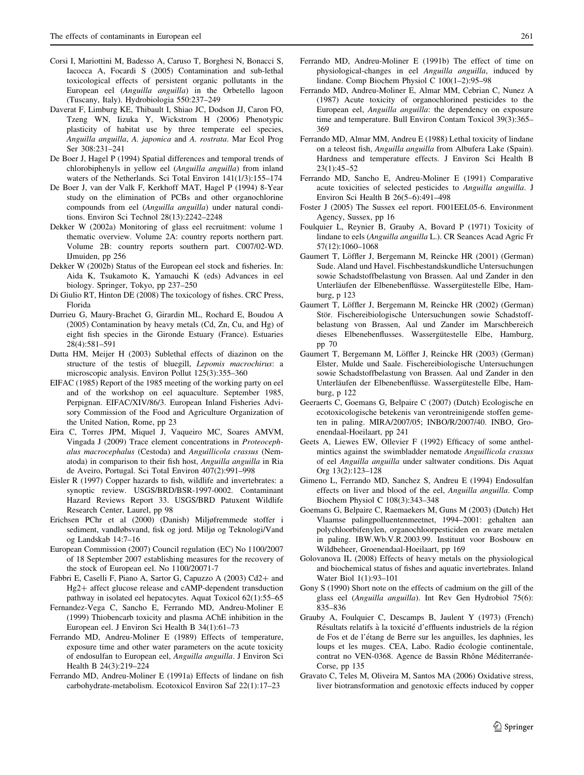- <span id="page-22-0"></span>Corsi I, Mariottini M, Badesso A, Caruso T, Borghesi N, Bonacci S, Iacocca A, Focardi S (2005) Contamination and sub-lethal toxicological effects of persistent organic pollutants in the European eel (Anguilla anguilla) in the Orbetello lagoon (Tuscany, Italy). Hydrobiologia 550:237–249
- Daverat F, Limburg KE, Thibault I, Shiao JC, Dodson JJ, Caron FO, Tzeng WN, Iizuka Y, Wickstrom H (2006) Phenotypic plasticity of habitat use by three temperate eel species, Anguilla anguilla, A. japonica and A. rostrata. Mar Ecol Prog Ser 308:231–241
- De Boer J, Hagel P (1994) Spatial differences and temporal trends of chlorobiphenyls in yellow eel (Anguilla anguilla) from inland waters of the Netherlands. Sci Total Environ 141(1/3):155–174
- De Boer J, van der Valk F, Kerkhoff MAT, Hagel P (1994) 8-Year study on the elimination of PCBs and other organochlorine compounds from eel (Anguilla anguilla) under natural conditions. Environ Sci Technol 28(13):2242–2248
- Dekker W (2002a) Monitoring of glass eel recruitment: volume 1 thematic overview. Volume 2A: country reports northern part. Volume 2B: country reports southern part. C007/02-WD. IJmuiden, pp 256
- Dekker W (2002b) Status of the European eel stock and fisheries. In: Aida K, Tsukamoto K, Yamauchi K (eds) Advances in eel biology. Springer, Tokyo, pp 237–250
- Di Giulio RT, Hinton DE (2008) The toxicology of fishes. CRC Press, Florida
- Durrieu G, Maury-Brachet G, Girardin ML, Rochard E, Boudou A (2005) Contamination by heavy metals (Cd, Zn, Cu, and Hg) of eight fish species in the Gironde Estuary (France). Estuaries 28(4):581–591
- Dutta HM, Meijer H (2003) Sublethal effects of diazinon on the structure of the testis of bluegill, Lepomis macrochirus: a microscopic analysis. Environ Pollut 125(3):355–360
- EIFAC (1985) Report of the 1985 meeting of the working party on eel and of the workshop on eel aquaculture. September 1985, Perpignan. EIFAC/XIV/86/3. European Inland Fisheries Advisory Commission of the Food and Agriculture Organization of the United Nation, Rome, pp 23
- Eira C, Torres JPM, Miquel J, Vaqueiro MC, Soares AMVM, Vingada J (2009) Trace element concentrations in Proteocephalus macrocephalus (Cestoda) and Anguillicola crassus (Nematoda) in comparison to their fish host, Anguilla anguilla in Ria de Aveiro, Portugal. Sci Total Environ 407(2):991–998
- Eisler R (1997) Copper hazards to fish, wildlife and invertebrates: a synoptic review. USGS/BRD/BSR-1997-0002. Contaminant Hazard Reviews Report 33. USGS/BRD Patuxent Wildlife Research Center, Laurel, pp 98
- Erichsen PChr et al (2000) (Danish) Miljøfremmede stoffer i sediment, vandløbsvand, fisk og jord. Miljø og Teknologi/Vand og Landskab 14:7–16
- European Commission (2007) Council regulation (EC) No 1100/2007 of 18 September 2007 establishing measures for the recovery of the stock of European eel. No 1100/20071-7
- Fabbri E, Caselli F, Piano A, Sartor G, Capuzzo A (2003) Cd2+ and Hg2+ affect glucose release and cAMP-dependent transduction pathway in isolated eel hepatocytes. Aquat Toxicol 62(1):55–65
- Fernandez-Vega C, Sancho E, Ferrando MD, Andreu-Moliner E (1999) Thiobencarb toxicity and plasma AChE inhibition in the European eel. J Environ Sci Health B 34(1):61–73
- Ferrando MD, Andreu-Moliner E (1989) Effects of temperature, exposure time and other water parameters on the acute toxicity of endosulfan to European eel, Anguilla anguilla. J Environ Sci Health B 24(3):219–224
- Ferrando MD, Andreu-Moliner E (1991a) Effects of lindane on fish carbohydrate-metabolism. Ecotoxicol Environ Saf 22(1):17–23
- Ferrando MD, Andreu-Moliner E (1991b) The effect of time on physiological-changes in eel Anguilla anguilla, induced by lindane. Comp Biochem Physiol C 100(1–2):95–98
- Ferrando MD, Andreu-Moliner E, Almar MM, Cebrian C, Nunez A (1987) Acute toxicity of organochlorined pesticides to the European eel, Anguilla anguilla: the dependency on exposure time and temperature. Bull Environ Contam Toxicol 39(3):365– 369
- Ferrando MD, Almar MM, Andreu E (1988) Lethal toxicity of lindane on a teleost fish, Anguilla anguilla from Albufera Lake (Spain). Hardness and temperature effects. J Environ Sci Health B 23(1):45–52
- Ferrando MD, Sancho E, Andreu-Moliner E (1991) Comparative acute toxicities of selected pesticides to Anguilla anguilla. J Environ Sci Health B 26(5–6):491–498
- Foster J (2005) The Sussex eel report. F001EEL05-6. Environment Agency, Sussex, pp 16
- Foulquier L, Reynier B, Grauby A, Bovard P (1971) Toxicity of lindane to eels (Anguilla anguilla L.). CR Seances Acad Agric Fr 57(12):1060–1068
- Gaumert T, Löffler J, Bergemann M, Reincke HR (2001) (German) Sude. Aland und Havel. Fischbestandskundliche Untersuchungen sowie Schadstoffbelastung von Brassen. Aal und Zander in den Unterläufen der Elbenebenflüsse. Wassergütestelle Elbe, Hamburg, p 123
- Gaumert T, Löffler J, Bergemann M, Reincke HR (2002) (German) Stör. Fischereibiologische Untersuchungen sowie Schadstoffbelastung von Brassen, Aal und Zander im Marschbereich dieses Elbenebenflusses. Wassergütestelle Elbe, Hamburg, pp 70
- Gaumert T, Bergemann M, Löffler J, Reincke HR (2003) (German) Elster, Mulde und Saale. Fischereibiologische Untersuchungen sowie Schadstoffbelastung von Brassen. Aal und Zander in den Unterläufen der Elbenebenflüsse. Wassergütestelle Elbe, Hamburg, p 122
- Geeraerts C, Goemans G, Belpaire C (2007) (Dutch) Ecologische en ecotoxicologische betekenis van verontreinigende stoffen gemeten in paling. MIRA/2007/05; INBO/R/2007/40. INBO, Groenendaal-Hoeilaart, pp 241
- Geets A, Liewes EW, Ollevier F (1992) Efficacy of some anthelmintics against the swimbladder nematode Anguillicola crassus of eel Anguilla anguilla under saltwater conditions. Dis Aquat Org 13(2):123–128
- Gimeno L, Ferrando MD, Sanchez S, Andreu E (1994) Endosulfan effects on liver and blood of the eel, Anguilla anguilla. Comp Biochem Physiol C 108(3):343–348
- Goemans G, Belpaire C, Raemaekers M, Guns M (2003) (Dutch) Het Vlaamse palingpolluentenmeetnet, 1994–2001: gehalten aan polychloorbifenylen, organochloorpesticiden en zware metalen in paling. IBW.Wb.V.R.2003.99. Instituut voor Bosbouw en Wildbeheer, Groenendaal-Hoeilaart, pp 169
- Golovanova IL (2008) Effects of heavy metals on the physiological and biochemical status of fishes and aquatic invertebrates. Inland Water Biol 1(1):93–101
- Gony S (1990) Short note on the effects of cadmium on the gill of the glass eel (Anguilla anguilla). Int Rev Gen Hydrobiol 75(6): 835–836
- Grauby A, Foulquier C, Descamps B, Jaulent Y (1973) (French) Résultats relatifs à la toxicité d'effluents industriels de la région de Fos et de l'étang de Berre sur les anguilles, les daphnies, les loups et les muges. CEA, Labo. Radio écologie continentale, contrat no VEN-0368. Agence de Bassin Rhône Méditerranée-Corse, pp 135
- Gravato C, Teles M, Oliveira M, Santos MA (2006) Oxidative stress, liver biotransformation and genotoxic effects induced by copper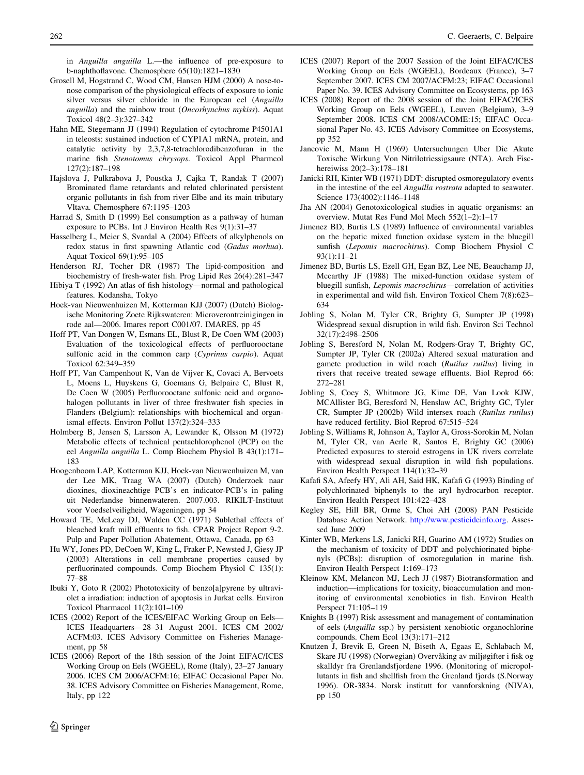<span id="page-23-0"></span>in Anguilla anguilla L.—the influence of pre-exposure to b-naphthoflavone. Chemosphere 65(10):1821–1830

- Grosell M, Hogstrand C, Wood CM, Hansen HJM (2000) A nose-tonose comparison of the physiological effects of exposure to ionic silver versus silver chloride in the European eel (Anguilla anguilla) and the rainbow trout (Oncorhynchus mykiss). Aquat Toxicol 48(2–3):327–342
- Hahn ME, Stegemann JJ (1994) Regulation of cytochrome P4501A1 in teleosts: sustained induction of CYP1A1 mRNA, protein, and catalytic activity by 2,3,7,8-tetrachlorodibenzofuran in the marine fish Stenotomus chrysops. Toxicol Appl Pharmcol 127(2):187–198
- Hajslova J, Pulkrabova J, Poustka J, Cajka T, Randak T (2007) Brominated flame retardants and related chlorinated persistent organic pollutants in fish from river Elbe and its main tributary Vltava. Chemosphere 67:1195–1203
- Harrad S, Smith D (1999) Eel consumption as a pathway of human exposure to PCBs. Int J Environ Health Res 9(1):31–37
- Hasselberg L, Meier S, Svardal A (2004) Effects of alkylphenols on redox status in first spawning Atlantic cod (Gadus morhua). Aquat Toxicol 69(1):95–105
- Henderson RJ, Tocher DR (1987) The lipid-composition and biochemistry of fresh-water fish. Prog Lipid Res 26(4):281–347
- Hibiya T (1992) An atlas of fish histology—normal and pathological features. Kodansha, Tokyo
- Hoek-van Nieuwenhuizen M, Kotterman KJJ (2007) (Dutch) Biologische Monitoring Zoete Rijkswateren: Microverontreinigingen in rode aal—2006. Imares report C001/07. IMARES, pp 45
- Hoff PT, Van Dongen W, Esmans EL, Blust R, De Coen WM (2003) Evaluation of the toxicological effects of perfluorooctane sulfonic acid in the common carp (Cyprinus carpio). Aquat Toxicol 62:349–359
- Hoff PT, Van Campenhout K, Van de Vijver K, Covaci A, Bervoets L, Moens L, Huyskens G, Goemans G, Belpaire C, Blust R, De Coen W (2005) Perfluorooctane sulfonic acid and organohalogen pollutants in liver of three freshwater fish species in Flanders (Belgium): relationships with biochemical and organismal effects. Environ Pollut 137(2):324–333
- Holmberg B, Jensen S, Larsson A, Lewander K, Olsson M (1972) Metabolic effects of technical pentachlorophenol (PCP) on the eel Anguilla anguilla L. Comp Biochem Physiol B 43(1):171– 183
- Hoogenboom LAP, Kotterman KJJ, Hoek-van Nieuwenhuizen M, van der Lee MK, Traag WA (2007) (Dutch) Onderzoek naar dioxines, dioxineachtige PCB's en indicator-PCB's in paling uit Nederlandse binnenwateren. 2007.003. RIKILT-Instituut voor Voedselveiligheid, Wageningen, pp 34
- Howard TE, McLeay DJ, Walden CC (1971) Sublethal effects of bleached kraft mill effluents to fish. CPAR Project Report 9-2. Pulp and Paper Pollution Abatement, Ottawa, Canada, pp 63
- Hu WY, Jones PD, DeCoen W, King L, Fraker P, Newsted J, Giesy JP (2003) Alterations in cell membrane properties caused by perfluorinated compounds. Comp Biochem Physiol C 135(1): 77–88
- Ibuki Y, Goto R (2002) Phototoxicity of benzo[a]pyrene by ultraviolet a irradiation: induction of apoptosis in Jurkat cells. Environ Toxicol Pharmacol 11(2):101–109
- ICES (2002) Report of the ICES/EIFAC Working Group on Eels— ICES Headquarters—28–31 August 2001. ICES CM 2002/ ACFM:03. ICES Advisory Committee on Fisheries Management, pp 58
- ICES (2006) Report of the 18th session of the Joint EIFAC/ICES Working Group on Eels (WGEEL), Rome (Italy), 23–27 January 2006. ICES CM 2006/ACFM:16; EIFAC Occasional Paper No. 38. ICES Advisory Committee on Fisheries Management, Rome, Italy, pp 122
- ICES (2007) Report of the 2007 Session of the Joint EIFAC/ICES Working Group on Eels (WGEEL), Bordeaux (France), 3–7 September 2007. ICES CM 2007/ACFM:23; EIFAC Occasional Paper No. 39. ICES Advisory Committee on Ecosystems, pp 163
- ICES (2008) Report of the 2008 session of the Joint EIFAC/ICES Working Group on Eels (WGEEL), Leuven (Belgium), 3–9 September 2008. ICES CM 2008/ACOME:15; EIFAC Occasional Paper No. 43. ICES Advisory Committee on Ecosystems, pp 352
- Jancovic M, Mann H (1969) Untersuchungen Uber Die Akute Toxische Wirkung Von Nitrilotriessigsaure (NTA). Arch Fischereiwiss 20(2–3):178–181
- Janicki RH, Kinter WB (1971) DDT: disrupted osmoregulatory events in the intestine of the eel Anguilla rostrata adapted to seawater. Science 173(4002):1146–1148
- Jha AN (2004) Genotoxicological studies in aquatic organisms: an overview. Mutat Res Fund Mol Mech 552(1–2):1–17
- Jimenez BD, Burtis LS (1989) Influence of environmental variables on the hepatic mixed function oxidase system in the bluegill sunfish (Lepomis macrochirus). Comp Biochem Physiol C 93(1):11–21
- Jimenez BD, Burtis LS, Ezell GH, Egan BZ, Lee NE, Beauchamp JJ, Mccarthy JF (1988) The mixed-function oxidase system of bluegill sunfish, Lepomis macrochirus—correlation of activities in experimental and wild fish. Environ Toxicol Chem 7(8):623– 634
- Jobling S, Nolan M, Tyler CR, Brighty G, Sumpter JP (1998) Widespread sexual disruption in wild fish. Environ Sci Technol 32(17):2498–2506
- Jobling S, Beresford N, Nolan M, Rodgers-Gray T, Brighty GC, Sumpter JP, Tyler CR (2002a) Altered sexual maturation and gamete production in wild roach (Rutilus rutilus) living in rivers that receive treated sewage effluents. Biol Reprod 66: 272–281
- Jobling S, Coey S, Whitmore JG, Kime DE, Van Look KJW, MCAllister BG, Beresford N, Henslaw AC, Brighty GC, Tyler CR, Sumpter JP (2002b) Wild intersex roach (Rutilus rutilus) have reduced fertility. Biol Reprod 67:515–524
- Jobling S, Williams R, Johnson A, Taylor A, Gross-Sorokin M, Nolan M, Tyler CR, van Aerle R, Santos E, Brighty GC (2006) Predicted exposures to steroid estrogens in UK rivers correlate with widespread sexual disruption in wild fish populations. Environ Health Perspect 114(1):32–39
- Kafafi SA, Afeefy HY, Ali AH, Said HK, Kafafi G (1993) Binding of polychlorinated biphenyls to the aryl hydrocarbon receptor. Environ Health Perspect 101:422–428
- Kegley SE, Hill BR, Orme S, Choi AH (2008) PAN Pesticide Database Action Network. [http://www.pesticideinfo.org.](http://www.pesticideinfo.org) Assessed June 2009
- Kinter WB, Merkens LS, Janicki RH, Guarino AM (1972) Studies on the mechanism of toxicity of DDT and polychiorinated biphenyls (PCBs): disruption of osmoregulation in marine fish. Environ Health Perspect 1:169–173
- Kleinow KM, Melancon MJ, Lech JJ (1987) Biotransformation and induction—implications for toxicity, bioaccumulation and monitoring of environmental xenobiotics in fish. Environ Health Perspect 71:105–119
- Knights B (1997) Risk assessment and management of contamination of eels (Anguilla ssp.) by persistent xenobiotic organochlorine compounds. Chem Ecol 13(3):171–212
- Knutzen J, Brevik E, Green N, Biseth A, Egaas E, Schlabach M, Skare JU (1998) (Norwegian) Overvåking av miljøgifter i fisk og skalldyr fra Grenlandsfjordene 1996. (Monitoring of micropollutants in fish and shellfish from the Grenland fjords (S.Norway 1996). OR-3834. Norsk institutt for vannforskning (NIVA), pp 150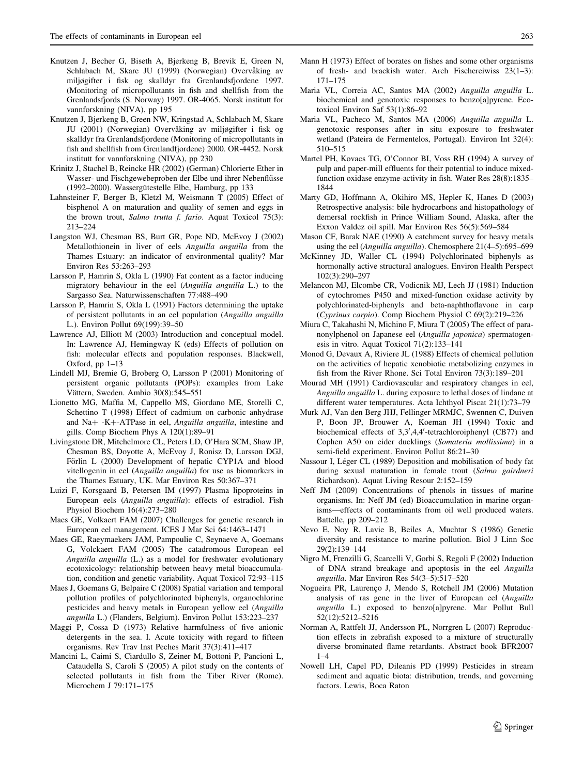- <span id="page-24-0"></span>Knutzen J, Becher G, Biseth A, Bjerkeng B, Brevik E, Green N, Schlabach M, Skare JU (1999) (Norwegian) Overvåking av miljøgifter i fisk og skalldyr fra Grenlandsfjordene 1997. (Monitoring of micropollutants in fish and shellfish from the Grenlandsfjords (S. Norway) 1997. OR-4065. Norsk institutt for vannforskning (NIVA), pp 195
- Knutzen J, Bjerkeng B, Green NW, Kringstad A, Schlabach M, Skare JU (2001) (Norwegian) Overvåking av miljøgifter i fisk og skalldyr fra Grenlandsfjordene (Monitoring of micropollutants in fish and shellfish from Grenlandfjordene) 2000. OR-4452. Norsk institutt for vannforskning (NIVA), pp 230
- Krinitz J, Stachel B, Reincke HR (2002) (German) Chlorierte Ether in Wasser- und Fischgewebeproben der Elbe und ihrer Nebenflüsse (1992–2000). Wassergütestelle Elbe, Hamburg, pp 133
- Lahnsteiner F, Berger B, Kletzl M, Weismann T (2005) Effect of bisphenol A on maturation and quality of semen and eggs in the brown trout, Salmo trutta f. fario. Aquat Toxicol 75(3): 213–224
- Langston WJ, Chesman BS, Burt GR, Pope ND, McEvoy J (2002) Metallothionein in liver of eels Anguilla anguilla from the Thames Estuary: an indicator of environmental quality? Mar Environ Res 53:263–293
- Larsson P, Hamrin S, Okla L (1990) Fat content as a factor inducing migratory behaviour in the eel (Anguilla anguilla L.) to the Sargasso Sea. Naturwissenschaften 77:488–490
- Larsson P, Hamrin S, Okla L (1991) Factors determining the uptake of persistent pollutants in an eel population (Anguilla anguilla L.). Environ Pollut 69(199):39–50
- Lawrence AJ, Elliott M (2003) Introduction and conceptual model. In: Lawrence AJ, Hemingway K (eds) Effects of pollution on fish: molecular effects and population responses. Blackwell, Oxford, pp 1–13
- Lindell MJ, Bremie G, Broberg O, Larsson P (2001) Monitoring of persistent organic pollutants (POPs): examples from Lake Vättern, Sweden. Ambio 30(8):545-551
- Lionetto MG, Maffia M, Cappello MS, Giordano ME, Storelli C, Schettino T (1998) Effect of cadmium on carbonic anhydrase and Na+ -K+-ATPase in eel, Anguilla anguilla, intestine and gills. Comp Biochem Phys A 120(1):89–91
- Livingstone DR, Mitchelmore CL, Peters LD, O'Hara SCM, Shaw JP, Chesman BS, Doyotte A, McEvoy J, Ronisz D, Larsson DGJ, Förlin L (2000) Development of hepatic CYP1A and blood vitellogenin in eel (Anguilla anguilla) for use as biomarkers in the Thames Estuary, UK. Mar Environ Res 50:367–371
- Luizi F, Korsgaard B, Petersen IM (1997) Plasma lipoproteins in European eels (Anguilla anguilla): effects of estradiol. Fish Physiol Biochem 16(4):273–280
- Maes GE, Volkaert FAM (2007) Challenges for genetic research in European eel management. ICES J Mar Sci 64:1463–1471
- Maes GE, Raeymaekers JAM, Pampoulie C, Seynaeve A, Goemans G, Volckaert FAM (2005) The catadromous European eel Anguilla anguilla (L.) as a model for freshwater evolutionary ecotoxicology: relationship between heavy metal bioaccumulation, condition and genetic variability. Aquat Toxicol 72:93–115
- Maes J, Goemans G, Belpaire C (2008) Spatial variation and temporal pollution profiles of polychlorinated biphenyls, organochlorine pesticides and heavy metals in European yellow eel (Anguilla anguilla L.) (Flanders, Belgium). Environ Pollut 153:223–237
- Maggi P, Cossa D (1973) Relative harmfulness of five anionic detergents in the sea. I. Acute toxicity with regard to fifteen organisms. Rev Trav Inst Peches Marit 37(3):411–417
- Mancini L, Caimi S, Ciardullo S, Zeiner M, Bottoni P, Pancioni L, Cataudella S, Caroli S (2005) A pilot study on the contents of selected pollutants in fish from the Tiber River (Rome). Microchem J 79:171–175
- Mann H (1973) Effect of borates on fishes and some other organisms of fresh- and brackish water. Arch Fischereiwiss 23(1–3): 171–175
- Maria VL, Correia AC, Santos MA (2002) Anguilla anguilla L. biochemical and genotoxic responses to benzo[a]pyrene. Ecotoxicol Environ Saf 53(1):86–92
- Maria VL, Pacheco M, Santos MA (2006) Anguilla anguilla L. genotoxic responses after in situ exposure to freshwater wetland (Pateira de Fermentelos, Portugal). Environ Int 32(4): 510–515
- Martel PH, Kovacs TG, O'Connor BI, Voss RH (1994) A survey of pulp and paper-mill effluents for their potential to induce mixedfunction oxidase enzyme-activity in fish. Water Res 28(8):1835– 1844
- Marty GD, Hoffmann A, Okihiro MS, Hepler K, Hanes D (2003) Retrospective analysis: bile hydrocarbons and histopathology of demersal rockfish in Prince William Sound, Alaska, after the Exxon Valdez oil spill. Mar Environ Res 56(5):569–584
- Mason CF, Barak NAE (1990) A catchment survey for heavy metals using the eel (Anguilla anguilla). Chemosphere 21(4–5):695–699
- McKinney JD, Waller CL (1994) Polychlorinated biphenyls as hormonally active structural analogues. Environ Health Perspect 102(3):290–297
- Melancon MJ, Elcombe CR, Vodicnik MJ, Lech JJ (1981) Induction of cytochromes P450 and mixed-function oxidase activity by polychlorinated-biphenyls and beta-naphthoflavone in carp (Cyprinus carpio). Comp Biochem Physiol C 69(2):219–226
- Miura C, Takahashi N, Michino F, Miura T (2005) The effect of paranonylphenol on Japanese eel (Anguilla japonica) spermatogenesis in vitro. Aquat Toxicol 71(2):133–141
- Monod G, Devaux A, Riviere JL (1988) Effects of chemical pollution on the activities of hepatic xenobiotic metabolizing enzymes in fish from the River Rhone. Sci Total Environ 73(3):189–201
- Mourad MH (1991) Cardiovascular and respiratory changes in eel, Anguilla anguilla L. during exposure to lethal doses of lindane at different water temperatures. Acta Ichthyol Piscat 21(1):73–79
- Murk AJ, Van den Berg JHJ, Fellinger MRMJC, Swennen C, Duiven P, Boon JP, Brouwer A, Koeman JH (1994) Toxic and biochemical effects of 3,3',4,4'-tetrachloroiphenyl (CB77) and Cophen A50 on eider ducklings (Somateria mollissima) in a semi-field experiment. Environ Pollut 86:21–30
- Nassour I, Léger CL (1989) Deposition and mobilisation of body fat during sexual maturation in female trout (Salmo gairdneri Richardson). Aquat Living Resour 2:152–159
- Neff JM (2009) Concentrations of phenols in tissues of marine organisms. In: Neff JM (ed) Bioaccumulation in marine organisms—effects of contaminants from oil well produced waters. Battelle, pp 209–212
- Nevo E, Noy R, Lavie B, Beiles A, Muchtar S (1986) Genetic diversity and resistance to marine pollution. Biol J Linn Soc 29(2):139–144
- Nigro M, Frenzilli G, Scarcelli V, Gorbi S, Regoli F (2002) Induction of DNA strand breakage and apoptosis in the eel Anguilla anguilla. Mar Environ Res 54(3–5):517–520
- Nogueira PR, Laurenço J, Mendo S, Rotchell JM (2006) Mutation analysis of ras gene in the liver of European eel (Anguilla anguilla L.) exposed to benzo[a]pyrene. Mar Pollut Bull 52(12):5212–5216
- Norman A, Rattfelt JJ, Andersson PL, Norrgren L (2007) Reproduction effects in zebrafish exposed to a mixture of structurally diverse brominated flame retardants. Abstract book BFR2007  $1 - 4$
- Nowell LH, Capel PD, Dileanis PD (1999) Pesticides in stream sediment and aquatic biota: distribution, trends, and governing factors. Lewis, Boca Raton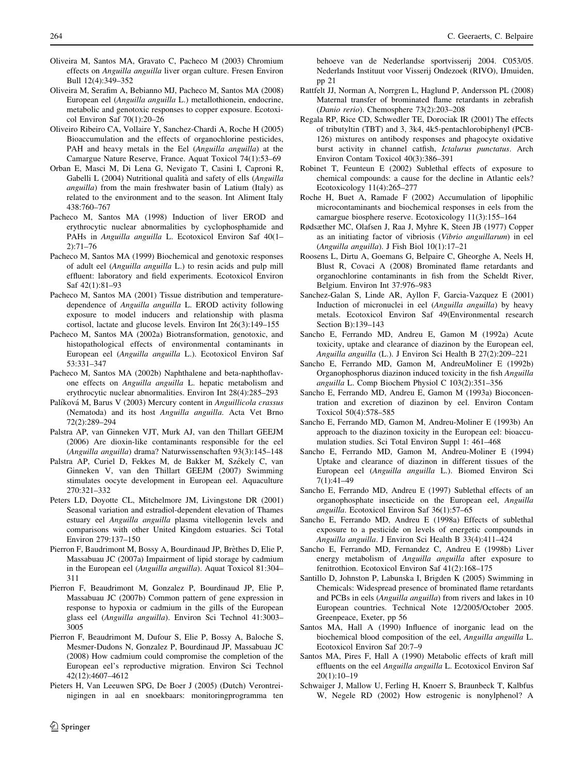- <span id="page-25-0"></span>Oliveira M, Santos MA, Gravato C, Pacheco M (2003) Chromium effects on Anguilla anguilla liver organ culture. Fresen Environ Bull 12(4):349–352
- Oliveira M, Serafim A, Bebianno MJ, Pacheco M, Santos MA (2008) European eel (Anguilla anguilla L.) metallothionein, endocrine, metabolic and genotoxic responses to copper exposure. Ecotoxicol Environ Saf 70(1):20–26
- Oliveiro Ribeiro CA, Vollaire Y, Sanchez-Chardi A, Roche H (2005) Bioaccumulation and the effects of organochlorine pesticides, PAH and heavy metals in the Eel (Anguilla anguilla) at the Camargue Nature Reserve, France. Aquat Toxicol 74(1):53–69
- Orban E, Masci M, Di Lena G, Nevigato T, Casini I, Caproni R, Gabelli L (2004) Nutritional qualità and safety of ells (Anguilla anguilla) from the main freshwater basin of Latium (Italy) as related to the environment and to the season. Int Aliment Italy 438:760–767
- Pacheco M, Santos MA (1998) Induction of liver EROD and erythrocytic nuclear abnormalities by cyclophosphamide and PAHs in Anguilla anguilla L. Ecotoxicol Environ Saf 40(1– 2):71–76
- Pacheco M, Santos MA (1999) Biochemical and genotoxic responses of adult eel (Anguilla anguilla L.) to resin acids and pulp mill effluent: laboratory and field experiments. Ecotoxicol Environ Saf 42(1):81–93
- Pacheco M, Santos MA (2001) Tissue distribution and temperaturedependence of Anguilla anguilla L. EROD activity following exposure to model inducers and relationship with plasma cortisol, lactate and glucose levels. Environ Int 26(3):149–155
- Pacheco M, Santos MA (2002a) Biotransformation, genotoxic, and histopathological effects of environmental contaminants in European eel (Anguilla anguilla L.). Ecotoxicol Environ Saf 53:331–347
- Pacheco M, Santos MA (2002b) Naphthalene and beta-naphthoflavone effects on Anguilla anguilla L. hepatic metabolism and erythrocytic nuclear abnormalities. Environ Int 28(4):285–293
- Palíková M, Barus V (2003) Mercury content in Anguillicola crassus (Nematoda) and its host Anguilla anguilla. Acta Vet Brno 72(2):289–294
- Palstra AP, van Ginneken VJT, Murk AJ, van den Thillart GEEJM (2006) Are dioxin-like contaminants responsible for the eel (Anguilla anguilla) drama? Naturwissenschaften 93(3):145–148
- Palstra AP, Curiel D, Fekkes M, de Bakker M, Székely C, van Ginneken V, van den Thillart GEEJM (2007) Swimming stimulates oocyte development in European eel. Aquaculture 270:321–332
- Peters LD, Doyotte CL, Mitchelmore JM, Livingstone DR (2001) Seasonal variation and estradiol-dependent elevation of Thames estuary eel Anguilla anguilla plasma vitellogenin levels and comparisons with other United Kingdom estuaries. Sci Total Environ 279:137–150
- Pierron F, Baudrimont M, Bossy A, Bourdinaud JP, Brèthes D, Elie P, Massabuau JC (2007a) Impairment of lipid storage by cadmium in the European eel (Anguilla anguilla). Aquat Toxicol 81:304– 311
- Pierron F, Beaudrimont M, Gonzalez P, Bourdinaud JP, Elie P, Massabuau JC (2007b) Common pattern of gene expression in response to hypoxia or cadmium in the gills of the European glass eel (Anguilla anguilla). Environ Sci Technol 41:3003– 3005
- Pierron F, Beaudrimont M, Dufour S, Elie P, Bossy A, Baloche S, Mesmer-Dudons N, Gonzalez P, Bourdinaud JP, Massabuau JC (2008) How cadmium could compromise the completion of the European eel's reproductive migration. Environ Sci Technol 42(12):4607–4612
- Pieters H, Van Leeuwen SPG, De Boer J (2005) (Dutch) Verontreinigingen in aal en snoekbaars: monitoringprogramma ten

behoeve van de Nederlandse sportvisserij 2004. C053/05. Nederlands Instituut voor Visserij Ondezoek (RIVO), IJmuiden, pp 21

- Rattfelt JJ, Norman A, Norrgren L, Haglund P, Andersson PL (2008) Maternal transfer of brominated flame retardants in zebrafish (Danio rerio). Chemosphere 73(2):203–208
- Regala RP, Rice CD, Schwedler TE, Dorociak IR (2001) The effects of tributyltin (TBT) and 3, 3k4, 4k5-pentachlorobiphenyl (PCB-126) mixtures on antibody responses and phagocyte oxidative burst activity in channel catfish, Ictalurus punctatus. Arch Environ Contam Toxicol 40(3):386–391
- Robinet T, Feunteun E (2002) Sublethal effects of exposure to chemical compounds: a cause for the decline in Atlantic eels? Ecotoxicology 11(4):265–277
- Roche H, Buet A, Ramade F (2002) Accumulation of lipophilic microcontaminants and biochemical responses in eels from the camargue biosphere reserve. Ecotoxicology 11(3):155–164
- Rødsæther MC, Olafsen J, Raa J, Myhre K, Steen JB (1977) Copper as an initiating factor of vibriosis (Vibrio anguillarum) in eel (Anguilla anguilla). J Fish Biol 10(1):17–21
- Roosens L, Dirtu A, Goemans G, Belpaire C, Gheorghe A, Neels H, Blust R, Covaci A (2008) Brominated flame retardants and organochlorine contaminants in fish from the Scheldt River, Belgium. Environ Int 37:976–983
- Sanchez-Galan S, Linde AR, Ayllon F, Garcia-Vazquez E (2001) Induction of micronuclei in eel (Anguilla anguilla) by heavy metals. Ecotoxicol Environ Saf 49(Environmental research Section B):139–143
- Sancho E, Ferrando MD, Andreu E, Gamon M (1992a) Acute toxicity, uptake and clearance of diazinon by the European eel, Anguilla anguilla (L.). J Environ Sci Health B 27(2):209–221
- Sancho E, Ferrando MD, Gamon M, AndreuMoliner E (1992b) Organophosphorus diazinon induced toxicity in the fish Anguilla anguilla L. Comp Biochem Physiol C 103(2):351–356
- Sancho E, Ferrando MD, Andreu E, Gamon M (1993a) Bioconcentration and excretion of diazinon by eel. Environ Contam Toxicol 50(4):578–585
- Sancho E, Ferrando MD, Gamon M, Andreu-Moliner E (1993b) An approach to the diazinon toxicity in the European eel: bioaccumulation studies. Sci Total Environ Suppl 1: 461–468
- Sancho E, Ferrando MD, Gamon M, Andreu-Moliner E (1994) Uptake and clearance of diazinon in different tissues of the European eel (Anguilla anguilla L.). Biomed Environ Sci 7(1):41–49
- Sancho E, Ferrando MD, Andreu E (1997) Sublethal effects of an organophosphate insecticide on the European eel, Anguilla anguilla. Ecotoxicol Environ Saf 36(1):57–65
- Sancho E, Ferrando MD, Andreu E (1998a) Effects of sublethal exposure to a pesticide on levels of energetic compounds in Anguilla anguilla. J Environ Sci Health B 33(4):411–424
- Sancho E, Ferrando MD, Fernandez C, Andreu E (1998b) Liver energy metabolism of Anguilla anguilla after exposure to fenitrothion. Ecotoxicol Environ Saf 41(2):168–175
- Santillo D, Johnston P, Labunska I, Brigden K (2005) Swimming in Chemicals: Widespread presence of brominated flame retardants and PCBs in eels (Anguilla anguilla) from rivers and lakes in 10 European countries. Technical Note 12/2005/October 2005. Greenpeace, Exeter, pp 56
- Santos MA, Hall A (1990) Influence of inorganic lead on the biochemical blood composition of the eel, Anguilla anguilla L. Ecotoxicol Environ Saf 20:7–9
- Santos MA, Pires F, Hall A (1990) Metabolic effects of kraft mill effluents on the eel Anguilla anguilla L. Ecotoxicol Environ Saf 20(1):10–19
- Schwaiger J, Mallow U, Ferling H, Knoerr S, Braunbeck T, Kalbfus W, Negele RD (2002) How estrogenic is nonylphenol? A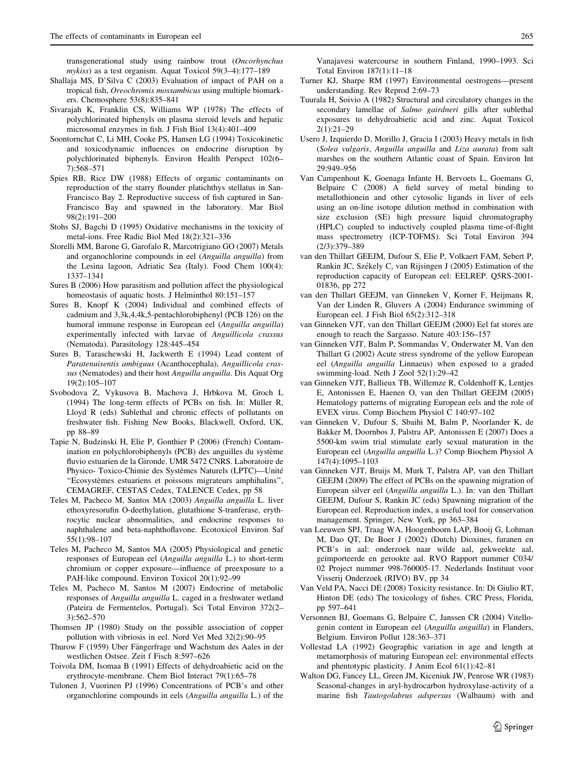<span id="page-26-0"></span>transgenerational study using rainbow trout (Oncorhynchus mykiss) as a test organism. Aquat Toxicol 59(3–4):177–189

- Shallaja MS, D'Silva C (2003) Evaluation of impact of PAH on a tropical fish, Oreochromis mossambicus using multiple biomarkers. Chemosphere 53(8):835–841
- Sivarajah K, Franklin CS, Williams WP (1978) The effects of polychlorinated biphenyls on plasma steroid levels and hepatic microsomal enzymes in fish. J Fish Biol 13(4):401–409
- Soontornchat C, Li MH, Cooke PS, Hansen LG (1994) Toxicokinetic and toxicodynamic influences on endocrine disruption by polychlorinated biphenyls. Environ Health Perspect 102(6– 7):568–571
- Spies RB, Rice DW (1988) Effects of organic contaminants on reproduction of the starry flounder platichthys stellatus in San-Francisco Bay 2. Reproductive success of fish captured in San-Francisco Bay and spawned in the laboratory. Mar Biol 98(2):191–200
- Stohs SJ, Bagchi D (1995) Oxidative mechanisms in the toxicity of metal-ions. Free Radic Biol Med 18(2):321–336
- Storelli MM, Barone G, Garofalo R, Marcotrigiano GO (2007) Metals and organochlorine compounds in eel (Anguilla anguilla) from the Lesina lagoon, Adriatic Sea (Italy). Food Chem 100(4): 1337–1341
- Sures B (2006) How parasitism and pollution affect the physiological homeostasis of aquatic hosts. J Helminthol 80:151–157
- Sures B, Knopf K (2004) Individual and combined effects of cadmium and 3,3k,4,4k,5-pentachlorobiphenyl (PCB 126) on the humoral immune response in European eel (Anguilla anguilla) experimentally infected with larvae of Anguillicola crassus (Nematoda). Parasitology 128:445–454
- Sures B, Taraschewski H, Jackwerth E (1994) Lead content of Paratenuisentis ambiguus (Acanthocephala), Anguillicola crassus (Nematodes) and their host Anguilla anguilla. Dis Aquat Org 19(2):105–107
- Svobodova Z, Vykusova B, Machova J, Hrbkova M, Groch L  $(1994)$  The long-term effects of PCBs on fish. In: Müller R, Lloyd R (eds) Sublethal and chronic effects of pollutants on freshwater fish. Fishing New Books, Blackwell, Oxford, UK, pp 88–89
- Tapie N, Budzinski H, Elie P, Gonthier P (2006) (French) Contamination en polychlorobiphenyls (PCB) des anguilles du système fluvio estuarien de la Gironde. UMR 5472 CNRS. Laboratoire de Physico- Toxico-Chimie des Systèmes Naturels (LPTC)—Unité ''Ecosyste`mes estuariens et poissons migrateurs amphihalins'', CEMAGREF, CESTAS Cedex, TALENCE Cedex, pp 58
- Teles M, Pacheco M, Santos MA (2003) Anguilla anguilla L. liver ethoxyresorufin O-deethylation, glutathione S-tranferase, erythrocytic nuclear abnormalities, and endocrine responses to naphthalene and beta-naphthoflavone. Ecotoxicol Environ Saf 55(1):98–107
- Teles M, Pacheco M, Santos MA (2005) Physiological and genetic responses of European eel (Anguilla anguilla L.) to short-term chromium or copper exposure—influence of preexposure to a PAH-like compound. Environ Toxicol 20(1):92–99
- Teles M, Pacheco M, Santos M (2007) Endocrine of metabolic responses of Anguilla anguilla L. caged in a freshwater wetland (Pateira de Fermentelos, Portugal). Sci Total Environ 372(2– 3):562–570
- Thomsen JP (1980) Study on the possible association of copper pollution with vibriosis in eel. Nord Vet Med 32(2):90–95
- Thurow F (1959) Uber Fängerfrage und Wachstum des Aales in der westlichen Ostsee. Zeit f Fisch 8:597–626
- Toivola DM, Isomaa B (1991) Effects of dehydroabietic acid on the erythrocyte-membrane. Chem Biol Interact 79(1):65–78
- Tulonen J, Vuorinen PJ (1996) Concentrations of PCB's and other organochlorine compounds in eels (Anguilla anguilla L.) of the

Vanajavesi watercourse in southern Finland, 1990–1993. Sci Total Environ 187(1):11–18

- Turner KJ, Sharpe RM (1997) Environmental oestrogens—present understanding. Rev Reprod 2:69–73
- Tuurala H, Soivio A (1982) Structural and circulatory changes in the secondary lamellae of Salmo gairdneri gills after sublethal exposures to dehydroabietic acid and zinc. Aquat Toxicol 2(1):21–29
- Usero J, Izquierdo D, Morillo J, Gracia I (2003) Heavy metals in fish (Solea vulgaris, Anguilla anguilla and Liza aurata) from salt marshes on the southern Atlantic coast of Spain. Environ Int 29:949–956
- Van Campenhout K, Goenaga Infante H, Bervoets L, Goemans G, Belpaire C (2008) A field survey of metal binding to metallothionein and other cytosolic ligands in liver of eels using an on-line isotope dilution method in combination with size exclusion (SE) high pressure liquid chromatography (HPLC) coupled to inductively coupled plasma time-of-flight mass spectrometry (ICP-TOFMS). Sci Total Environ 394 (2/3):379–389
- van den Thillart GEEJM, Dufour S, Elie P, Volkaert FAM, Sebert P, Rankin JC, Székely C, van Rijsingen J (2005) Estimation of the reproduction capacity of European eel: EELREP. Q5RS-2001- 01836, pp 272
- van den Thillart GEEJM, van Ginneken V, Korner F, Heijmans R, Van der Linden R, Gluvers A (2004) Endurance swimming of European eel. J Fish Biol 65(2):312–318
- van Ginneken VJT, van den Thillart GEEJM (2000) Eel fat stores are enough to reach the Sargasso. Nature 403:156–157
- van Ginneken VJT, Balm P, Sommandas V, Onderwater M, Van den Thillart G (2002) Acute stress syndrome of the yellow European eel (Anguilla anguilla Linnaeus) when exposed to a graded swimming-load. Neth J Zool 52(1):29–42
- van Ginneken VJT, Ballieux TB, Willemze R, Coldenhoff K, Lentjes E, Antonissen E, Haenen O, van den Thillart GEEJM (2005) Hematology patterns of migrating European eels and the role of EVEX virus. Comp Biochem Physiol C 140:97–102
- van Ginneken V, Dufour S, Sbaihi M, Balm P, Noorlander K, de Bakker M, Doornbos J, Palstra AP, Antonissen E (2007) Does a 5500-km swim trial stimulate early sexual maturation in the European eel (Anguilla anguilla L.)? Comp Biochem Physiol A 147(4):1095–1103
- van Ginneken VJT, Bruijs M, Murk T, Palstra AP, van den Thillart GEEJM (2009) The effect of PCBs on the spawning migration of European silver eel (Anguilla anguilla L.). In: van den Thillart GEEJM, Dufour S, Rankin JC (eds) Spawning migration of the European eel. Reproduction index, a useful tool for conservation management. Springer, New York, pp 363–384
- van Leeuwen SPJ, Traag WA, Hoogenboorn LAP, Booij G, Lohman M, Dao QT, De Boer J (2002) (Dutch) Dioxines, furanen en PCB's in aal: onderzoek naar wilde aal, gekweekte aal, geïmporteerde en gerookte aal. RVO Rapport nummer C034/ 02 Project nummer 998-760005-17. Nederlands Instituut voor Visserij Onderzoek (RIVO) BV, pp 34
- Van Veld PA, Nacci DE (2008) Toxicity resistance. In: Di Giulio RT, Hinton DE (eds) The toxicology of fishes. CRC Press, Florida, pp 597–641
- Versonnen BJ, Goemans G, Belpaire C, Janssen CR (2004) Vitellogenin content in European eel (Anguilla anguilla) in Flanders, Belgium. Environ Pollut 128:363–371
- Vollestad LA (1992) Geographic variation in age and length at metamorphosis of maturing European eel: environmental effects and phentotypic plasticity. J Anim Ecol 61(1):42–81
- Walton DG, Fancey LL, Green JM, Kiceniuk JW, Penrose WR (1983) Seasonal-changes in aryl-hydrocarbon hydroxylase-activity of a marine fish Tautogolabrus adspersus (Walbaum) with and